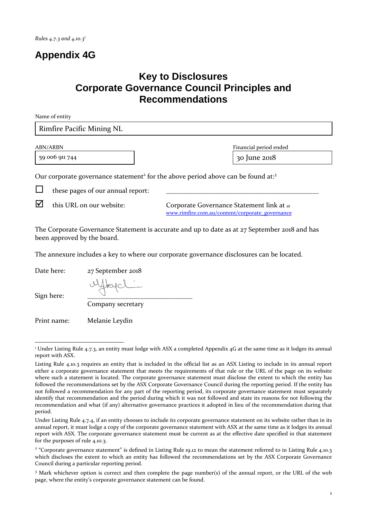## **Appendix 4G**

## **Key to Disclosures Corporate Governance Council Principles and Recommendations**

| Name of entity                                                                                           |                        |  |  |
|----------------------------------------------------------------------------------------------------------|------------------------|--|--|
| Rimfire Pacific Mining NL                                                                                |                        |  |  |
| ABN/ARBN                                                                                                 | Financial period ended |  |  |
| 59 006 911 744                                                                                           | 30 June 2018           |  |  |
| Our corporate governance statement <sup>2</sup> for the above period above can be found at: <sup>3</sup> |                        |  |  |
| these pages of our annual report:                                                                        |                        |  |  |

 $\triangledown$  this URL on our website: Corporate Governance Statement link at at [www.rimfire.com.au/content/corporate\\_governance](http://www.rimfire.com.au/irm/content/corporate-governance.aspx?RID=319) 

The Corporate Governance Statement is accurate and up to date as at 27 September 2018 and has been approved by the board.

The annexure includes a key to where our corporate governance disclosures can be located.

Date here: 27 September 2018

Sign here:

ulfleyel

Company secretary

Print name: Melanie Leydin

 <sup>1</sup> Under Listing Rule 4.7.3, an entity must lodge with ASX a completed Appendix 4G at the same time as it lodges its annual report with ASX.

Listing Rule 4.10.3 requires an entity that is included in the official list as an ASX Listing to include in its annual report either a corporate governance statement that meets the requirements of that rule or the URL of the page on its website where such a statement is located. The corporate governance statement must disclose the extent to which the entity has followed the recommendations set by the ASX Corporate Governance Council during the reporting period. If the entity has not followed a recommendation for any part of the reporting period, its corporate governance statement must separately identify that recommendation and the period during which it was not followed and state its reasons for not following the recommendation and what (if any) alternative governance practices it adopted in lieu of the recommendation during that period.

Under Listing Rule 4.7.4, if an entity chooses to include its corporate governance statement on its website rather than in its annual report, it must lodge a copy of the corporate governance statement with ASX at the same time as it lodges its annual report with ASX. The corporate governance statement must be current as at the effective date specified in that statement for the purposes of rule 4.10.3.

<sup>&</sup>lt;sup>2</sup> "Corporate governance statement" is defined in Listing Rule 19.12 to mean the statement referred to in Listing Rule 4.10.3 which discloses the extent to which an entity has followed the recommendations set by the ASX Corporate Governance Council during a particular reporting period.

<sup>3</sup> Mark whichever option is correct and then complete the page number(s) of the annual report, or the URL of the web page, where the entity's corporate governance statement can be found.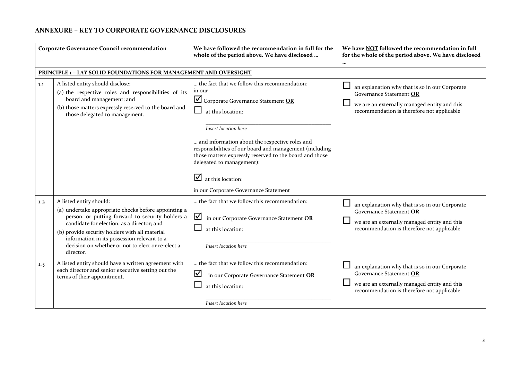## **ANNEXURE – KEY TO CORPORATE GOVERNANCE DISCLOSURES**

| <b>Corporate Governance Council recommendation</b> |                                                                                                                                                                                                                                                                                                                                                      | We have followed the recommendation in full for the<br>whole of the period above. We have disclosed                                                                                                                                                                                                                                                                                                              | We have NOT followed the recommendation in full<br>for the whole of the period above. We have disclosed<br>                                                                       |
|----------------------------------------------------|------------------------------------------------------------------------------------------------------------------------------------------------------------------------------------------------------------------------------------------------------------------------------------------------------------------------------------------------------|------------------------------------------------------------------------------------------------------------------------------------------------------------------------------------------------------------------------------------------------------------------------------------------------------------------------------------------------------------------------------------------------------------------|-----------------------------------------------------------------------------------------------------------------------------------------------------------------------------------|
|                                                    | PRINCIPLE 1 - LAY SOLID FOUNDATIONS FOR MANAGEMENT AND OVERSIGHT                                                                                                                                                                                                                                                                                     |                                                                                                                                                                                                                                                                                                                                                                                                                  |                                                                                                                                                                                   |
| 1.1                                                | A listed entity should disclose:<br>(a) the respective roles and responsibilities of its<br>board and management; and<br>(b) those matters expressly reserved to the board and<br>those delegated to management.                                                                                                                                     | the fact that we follow this recommendation:<br>in our<br>Corporate Governance Statement OR<br>at this location:<br>Insert location here<br>and information about the respective roles and<br>responsibilities of our board and management (including<br>those matters expressly reserved to the board and those<br>delegated to management):<br>☑<br>at this location:<br>in our Corporate Governance Statement | an explanation why that is so in our Corporate<br>Governance Statement OR<br>we are an externally managed entity and this<br>recommendation is therefore not applicable           |
| 1,2                                                | A listed entity should:<br>(a) undertake appropriate checks before appointing a<br>person, or putting forward to security holders a<br>candidate for election, as a director; and<br>(b) provide security holders with all material<br>information in its possession relevant to a<br>decision on whether or not to elect or re-elect a<br>director. | the fact that we follow this recommendation:<br>☑<br>in our Corporate Governance Statement OR<br>at this location:<br>Insert location here                                                                                                                                                                                                                                                                       | $\Box$<br>an explanation why that is so in our Corporate<br>Governance Statement OR<br>we are an externally managed entity and this<br>recommendation is therefore not applicable |
| 1.3                                                | A listed entity should have a written agreement with<br>each director and senior executive setting out the<br>terms of their appointment.                                                                                                                                                                                                            | the fact that we follow this recommendation:<br>⊻<br>in our Corporate Governance Statement OR<br>at this location:<br>Insert location here                                                                                                                                                                                                                                                                       | an explanation why that is so in our Corporate<br>Governance Statement OR<br>we are an externally managed entity and this<br>recommendation is therefore not applicable           |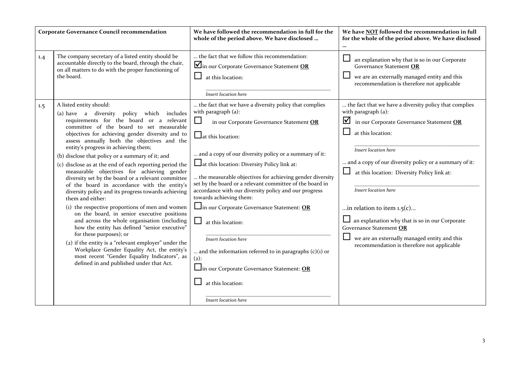| <b>Corporate Governance Council recommendation</b> |                                                                                                                                                                                                                                                                                                                                                                                                                                                                                                                                                                                                                                                                                                                                                                                                                                                                                                                                                                                                                                                                 | We have followed the recommendation in full for the<br>whole of the period above. We have disclosed                                                                                                                                                                                                                                                                                                                                                                                                                                                                                                                                                                                                                      | We have NOT followed the recommendation in full<br>for the whole of the period above. We have disclosed<br>                                                                                                                                                                                                                                                                                                                                                     |
|----------------------------------------------------|-----------------------------------------------------------------------------------------------------------------------------------------------------------------------------------------------------------------------------------------------------------------------------------------------------------------------------------------------------------------------------------------------------------------------------------------------------------------------------------------------------------------------------------------------------------------------------------------------------------------------------------------------------------------------------------------------------------------------------------------------------------------------------------------------------------------------------------------------------------------------------------------------------------------------------------------------------------------------------------------------------------------------------------------------------------------|--------------------------------------------------------------------------------------------------------------------------------------------------------------------------------------------------------------------------------------------------------------------------------------------------------------------------------------------------------------------------------------------------------------------------------------------------------------------------------------------------------------------------------------------------------------------------------------------------------------------------------------------------------------------------------------------------------------------------|-----------------------------------------------------------------------------------------------------------------------------------------------------------------------------------------------------------------------------------------------------------------------------------------------------------------------------------------------------------------------------------------------------------------------------------------------------------------|
| 1.4<br>1.5                                         | The company secretary of a listed entity should be<br>accountable directly to the board, through the chair,<br>on all matters to do with the proper functioning of<br>the board.<br>A listed entity should:                                                                                                                                                                                                                                                                                                                                                                                                                                                                                                                                                                                                                                                                                                                                                                                                                                                     | the fact that we follow this recommendation:<br>In our Corporate Governance Statement OR<br>at this location:<br>Insert location here<br>the fact that we have a diversity policy that complies                                                                                                                                                                                                                                                                                                                                                                                                                                                                                                                          | $\Box$<br>an explanation why that is so in our Corporate<br>Governance Statement OR<br>we are an externally managed entity and this<br>recommendation is therefore not applicable<br>the fact that we have a diversity policy that complies                                                                                                                                                                                                                     |
|                                                    | policy which includes<br>(a) have a diversity<br>requirements for the board or a relevant<br>committee of the board to set measurable<br>objectives for achieving gender diversity and to<br>assess annually both the objectives and the<br>entity's progress in achieving them;<br>(b) disclose that policy or a summary of it; and<br>(c) disclose as at the end of each reporting period the<br>measurable objectives for achieving gender<br>diversity set by the board or a relevant committee<br>of the board in accordance with the entity's<br>diversity policy and its progress towards achieving<br>them and either:<br>(1) the respective proportions of men and women<br>on the board, in senior executive positions<br>and across the whole organisation (including<br>how the entity has defined "senior executive"<br>for these purposes); or<br>(2) if the entity is a "relevant employer" under the<br>Workplace Gender Equality Act, the entity's<br>most recent "Gender Equality Indicators", as<br>defined in and published under that Act. | with paragraph (a):<br>$\Box$<br>in our Corporate Governance Statement OR<br>$\Box$ at this location:<br>and a copy of our diversity policy or a summary of it:<br>$\Box$ at this location: Diversity Policy link at:<br>the measurable objectives for achieving gender diversity<br>set by the board or a relevant committee of the board in<br>accordance with our diversity policy and our progress<br>towards achieving them:<br>$\Box$ in our Corporate Governance Statement: <b>OR</b><br>凵.<br>at this location:<br>Insert location here<br>and the information referred to in paragraphs $(c)(1)$ or<br>$(2)$ :<br>$\Box$ in our Corporate Governance Statement: OR<br>at this location:<br>Insert location here | with paragraph (a):<br>in our Corporate Governance Statement OR<br>at this location:<br>Insert location here<br>and a copy of our diversity policy or a summary of it:<br>at this location: Diversity Policy link at:<br>Insert location here<br>in relation to item $1.5(c)$<br>$\Box$ an explanation why that is so in our Corporate<br>Governance Statement OR<br>we are an externally managed entity and this<br>recommendation is therefore not applicable |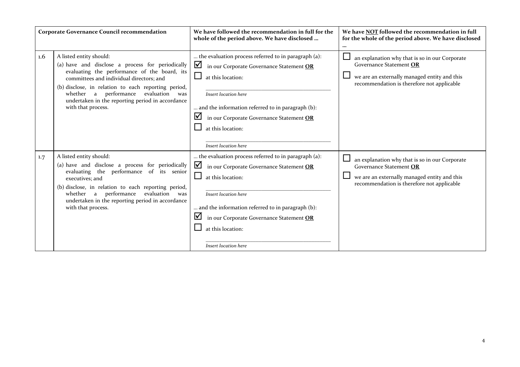| <b>Corporate Governance Council recommendation</b> |                                                                                                                                                                                                                                                                                                                                                           | We have followed the recommendation in full for the<br>whole of the period above. We have disclosed                                                                                                                                                                                                        | We have <b>NOT</b> followed the recommendation in full<br>for the whole of the period above. We have disclosed                                                          |
|----------------------------------------------------|-----------------------------------------------------------------------------------------------------------------------------------------------------------------------------------------------------------------------------------------------------------------------------------------------------------------------------------------------------------|------------------------------------------------------------------------------------------------------------------------------------------------------------------------------------------------------------------------------------------------------------------------------------------------------------|-------------------------------------------------------------------------------------------------------------------------------------------------------------------------|
| 1.6                                                | A listed entity should:<br>(a) have and disclose a process for periodically<br>evaluating the performance of the board, its<br>committees and individual directors; and<br>(b) disclose, in relation to each reporting period,<br>performance<br>evaluation<br>whether a<br>was<br>undertaken in the reporting period in accordance<br>with that process. | the evaluation process referred to in paragraph (a):<br>☑<br>in our Corporate Governance Statement OR<br>at this location:<br>Insert location here<br>and the information referred to in paragraph (b):<br>⊻<br>in our Corporate Governance Statement OR<br>at this location:<br>Insert location here      | an explanation why that is so in our Corporate<br>Governance Statement OR<br>we are an externally managed entity and this<br>recommendation is therefore not applicable |
| 1.7                                                | A listed entity should:<br>(a) have and disclose a process for periodically<br>evaluating the performance of its senior<br>executives; and<br>(b) disclose, in relation to each reporting period,<br>performance<br>evaluation<br>whether a<br>was<br>undertaken in the reporting period in accordance<br>with that process.                              | the evaluation process referred to in paragraph (a):<br>☑<br>in our Corporate Governance Statement OR<br>ப<br>at this location:<br>Insert location here<br>and the information referred to in paragraph (b):<br>⊻<br>in our Corporate Governance Statement OR<br>at this location:<br>Insert location here | an explanation why that is so in our Corporate<br>Governance Statement OR<br>we are an externally managed entity and this<br>recommendation is therefore not applicable |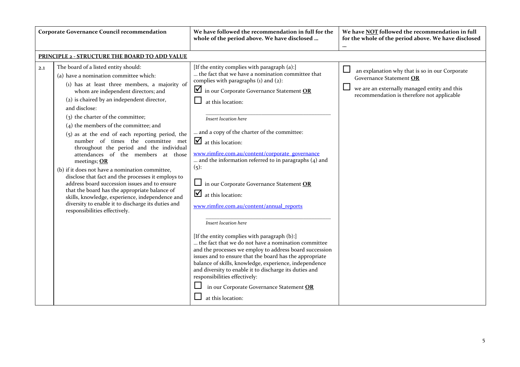|     | <b>Corporate Governance Council recommendation</b>                                                                                                                                                                                                                                                                                                                                                                                                                                                                                                                                                                                                                                                                                                                                                                                                                      | We have followed the recommendation in full for the<br>whole of the period above. We have disclosed                                                                                                                                                                                                                                                                                                                                                                                                                                                                                                                                                                                                                                                                                                                                                                                                                                                                                                                                                                                    | We have NOT followed the recommendation in full<br>for the whole of the period above. We have disclosed                                                                           |
|-----|-------------------------------------------------------------------------------------------------------------------------------------------------------------------------------------------------------------------------------------------------------------------------------------------------------------------------------------------------------------------------------------------------------------------------------------------------------------------------------------------------------------------------------------------------------------------------------------------------------------------------------------------------------------------------------------------------------------------------------------------------------------------------------------------------------------------------------------------------------------------------|----------------------------------------------------------------------------------------------------------------------------------------------------------------------------------------------------------------------------------------------------------------------------------------------------------------------------------------------------------------------------------------------------------------------------------------------------------------------------------------------------------------------------------------------------------------------------------------------------------------------------------------------------------------------------------------------------------------------------------------------------------------------------------------------------------------------------------------------------------------------------------------------------------------------------------------------------------------------------------------------------------------------------------------------------------------------------------------|-----------------------------------------------------------------------------------------------------------------------------------------------------------------------------------|
|     | PRINCIPLE 2 - STRUCTURE THE BOARD TO ADD VALUE                                                                                                                                                                                                                                                                                                                                                                                                                                                                                                                                                                                                                                                                                                                                                                                                                          |                                                                                                                                                                                                                                                                                                                                                                                                                                                                                                                                                                                                                                                                                                                                                                                                                                                                                                                                                                                                                                                                                        |                                                                                                                                                                                   |
| 2.1 | The board of a listed entity should:<br>(a) have a nomination committee which:<br>(1) has at least three members, a majority of<br>whom are independent directors; and<br>(2) is chaired by an independent director,<br>and disclose:<br>(3) the charter of the committee;<br>$(4)$ the members of the committee; and<br>$(5)$ as at the end of each reporting period, the<br>number of times the committee met<br>throughout the period and the individual<br>attendances of the members at those<br>meetings; OR<br>(b) if it does not have a nomination committee,<br>disclose that fact and the processes it employs to<br>address board succession issues and to ensure<br>that the board has the appropriate balance of<br>skills, knowledge, experience, independence and<br>diversity to enable it to discharge its duties and<br>responsibilities effectively. | [If the entity complies with paragraph (a):]<br>the fact that we have a nomination committee that<br>complies with paragraphs $(i)$ and $(2)$ :<br>$\blacksquare$ in our Corporate Governance Statement OR<br>at this location:<br>Insert location here<br>and a copy of the charter of the committee:<br>$\Delta$ at this location:<br>www.rimfire.com.au/content/corporate_governance<br>and the information referred to in paragraphs $(4)$ and<br>$(5)$ :<br>$\Box$ in our Corporate Governance Statement <b>OR</b><br>$\mathbf{\nabla}$ at this location:<br>www.rimfire.com.au/content/annual_reports<br>Insert location here<br>[If the entity complies with paragraph (b):]<br>the fact that we do not have a nomination committee<br>and the processes we employ to address board succession<br>issues and to ensure that the board has the appropriate<br>balance of skills, knowledge, experience, independence<br>and diversity to enable it to discharge its duties and<br>responsibilities effectively:<br>in our Corporate Governance Statement OR<br>at this location: | $\Box$<br>an explanation why that is so in our Corporate<br>Governance Statement OR<br>we are an externally managed entity and this<br>recommendation is therefore not applicable |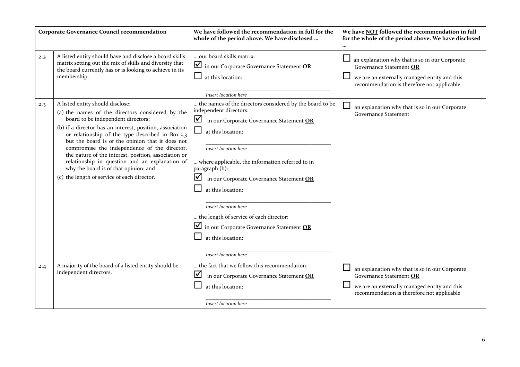|     | <b>Corporate Governance Council recommendation</b>                                                                                                                                                                                                                                                                                                                                                                                                                                                                                               | We have followed the recommendation in full for the<br>whole of the period above. We have disclosed                                                                                                                                                                                                                                                                                                                                                                                      | We have NOT followed the recommendation in full<br>for the whole of the period above. We have disclosed                                                                 |
|-----|--------------------------------------------------------------------------------------------------------------------------------------------------------------------------------------------------------------------------------------------------------------------------------------------------------------------------------------------------------------------------------------------------------------------------------------------------------------------------------------------------------------------------------------------------|------------------------------------------------------------------------------------------------------------------------------------------------------------------------------------------------------------------------------------------------------------------------------------------------------------------------------------------------------------------------------------------------------------------------------------------------------------------------------------------|-------------------------------------------------------------------------------------------------------------------------------------------------------------------------|
| 2.2 | A listed entity should have and disclose a board skills<br>matrix setting out the mix of skills and diversity that<br>the board currently has or is looking to achieve in its<br>membership.                                                                                                                                                                                                                                                                                                                                                     | our board skills matrix:<br>in our Corporate Governance Statement OR<br>at this location:<br>Insert location here                                                                                                                                                                                                                                                                                                                                                                        | an explanation why that is so in our Corporate<br>Governance Statement OR<br>we are an externally managed entity and this<br>recommendation is therefore not applicable |
| 2.3 | A listed entity should disclose:<br>(a) the names of the directors considered by the<br>board to be independent directors;<br>(b) if a director has an interest, position, association<br>or relationship of the type described in Box 2.3<br>but the board is of the opinion that it does not<br>compromise the independence of the director,<br>the nature of the interest, position, association or<br>relationship in question and an explanation of<br>why the board is of that opinion; and<br>(c) the length of service of each director. | the names of the directors considered by the board to be<br>independent directors:<br>⊻<br>in our Corporate Governance Statement OR<br>at this location:<br>Insert location here<br>where applicable, the information referred to in<br>paragraph (b):<br>☑<br>in our Corporate Governance Statement OR<br>at this location:<br>Insert location here<br>the length of service of each director:<br>in our Corporate Governance Statement OR<br>at this location:<br>Insert location here | an explanation why that is so in our Corporate<br><b>Governance Statement</b>                                                                                           |
| 2.4 | A majority of the board of a listed entity should be<br>independent directors.                                                                                                                                                                                                                                                                                                                                                                                                                                                                   | the fact that we follow this recommendation:<br>☑<br>in our Corporate Governance Statement OR<br>at this location:<br>Insert location here                                                                                                                                                                                                                                                                                                                                               | an explanation why that is so in our Corporate<br>Governance Statement OR<br>we are an externally managed entity and this<br>recommendation is therefore not applicable |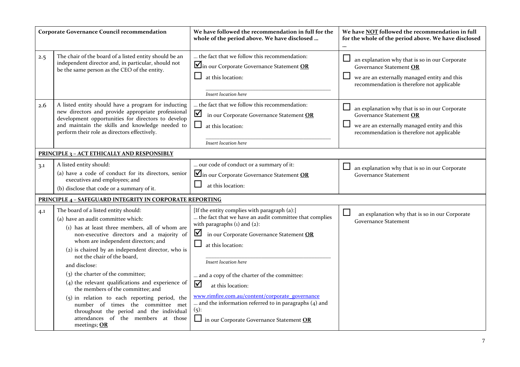|     | <b>Corporate Governance Council recommendation</b>                                                                                                                                                                                                                                                                                                                                                                                                                                                                                                                                                                                               | We have followed the recommendation in full for the<br>whole of the period above. We have disclosed                                                                                                                                                                                                                                                                                                                                                                                                   | We have NOT followed the recommendation in full<br>for the whole of the period above. We have disclosed                                                                                     |
|-----|--------------------------------------------------------------------------------------------------------------------------------------------------------------------------------------------------------------------------------------------------------------------------------------------------------------------------------------------------------------------------------------------------------------------------------------------------------------------------------------------------------------------------------------------------------------------------------------------------------------------------------------------------|-------------------------------------------------------------------------------------------------------------------------------------------------------------------------------------------------------------------------------------------------------------------------------------------------------------------------------------------------------------------------------------------------------------------------------------------------------------------------------------------------------|---------------------------------------------------------------------------------------------------------------------------------------------------------------------------------------------|
| 2.5 | The chair of the board of a listed entity should be an<br>independent director and, in particular, should not<br>be the same person as the CEO of the entity.                                                                                                                                                                                                                                                                                                                                                                                                                                                                                    | the fact that we follow this recommendation:<br>In our Corporate Governance Statement OR<br>$\Box$<br>at this location:<br>Insert location here                                                                                                                                                                                                                                                                                                                                                       | $\Box$<br>an explanation why that is so in our Corporate<br>Governance Statement OR<br>$\Box$<br>we are an externally managed entity and this<br>recommendation is therefore not applicable |
| 2.6 | A listed entity should have a program for inducting<br>new directors and provide appropriate professional<br>development opportunities for directors to develop<br>and maintain the skills and knowledge needed to<br>perform their role as directors effectively.                                                                                                                                                                                                                                                                                                                                                                               | the fact that we follow this recommendation:<br>☑<br>in our Corporate Governance Statement OR<br>$\Box$<br>at this location:<br>Insert location here                                                                                                                                                                                                                                                                                                                                                  | an explanation why that is so in our Corporate<br>Governance Statement OR<br>we are an externally managed entity and this<br>recommendation is therefore not applicable                     |
|     | <b>PRINCIPLE 3 - ACT ETHICALLY AND RESPONSIBLY</b>                                                                                                                                                                                                                                                                                                                                                                                                                                                                                                                                                                                               |                                                                                                                                                                                                                                                                                                                                                                                                                                                                                                       |                                                                                                                                                                                             |
| 3.1 | A listed entity should:<br>(a) have a code of conduct for its directors, senior<br>executives and employees; and<br>(b) disclose that code or a summary of it.                                                                                                                                                                                                                                                                                                                                                                                                                                                                                   | our code of conduct or a summary of it:<br>In our Corporate Governance Statement OR<br>at this location:                                                                                                                                                                                                                                                                                                                                                                                              | $\sqcup$<br>an explanation why that is so in our Corporate<br>Governance Statement                                                                                                          |
|     | <b>PRINCIPLE 4 - SAFEGUARD INTEGRITY IN CORPORATE REPORTING</b>                                                                                                                                                                                                                                                                                                                                                                                                                                                                                                                                                                                  |                                                                                                                                                                                                                                                                                                                                                                                                                                                                                                       |                                                                                                                                                                                             |
| 4.1 | The board of a listed entity should:<br>(a) have an audit committee which:<br>(1) has at least three members, all of whom are<br>non-executive directors and a majority of<br>whom are independent directors; and<br>(2) is chaired by an independent director, who is<br>not the chair of the board,<br>and disclose:<br>(3) the charter of the committee;<br>$(4)$ the relevant qualifications and experience of<br>the members of the committee; and<br>(5) in relation to each reporting period, the<br>number of times the committee met<br>throughout the period and the individual<br>attendances of the members at those<br>meetings; OR | [If the entity complies with paragraph (a):]<br>the fact that we have an audit committee that complies<br>with paragraphs $(i)$ and $(2)$ :<br>⊻<br>in our Corporate Governance Statement OR<br>ப<br>at this location:<br>Insert location here<br>and a copy of the charter of the committee:<br>☑<br>at this location:<br>www.rimfire.com.au/content/corporate_governance<br>and the information referred to in paragraphs (4) and<br>(5):<br>$\Box$ in our Corporate Governance Statement <b>OR</b> | ⊔<br>an explanation why that is so in our Corporate<br><b>Governance Statement</b>                                                                                                          |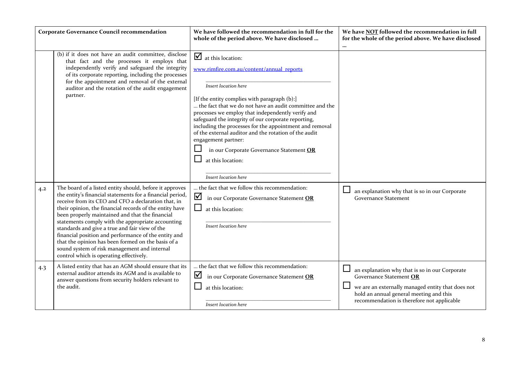| <b>Corporate Governance Council recommendation</b> |                                                                                                                                                                                                                                                                                                                                                                                                                                                                                                                                                                                                           | We have followed the recommendation in full for the<br>whole of the period above. We have disclosed                                                                                                                                                                                                                                                                                                                                                                                                                                                                       | We have NOT followed the recommendation in full<br>for the whole of the period above. We have disclosed<br>$\ddotsc$                                                                                                    |
|----------------------------------------------------|-----------------------------------------------------------------------------------------------------------------------------------------------------------------------------------------------------------------------------------------------------------------------------------------------------------------------------------------------------------------------------------------------------------------------------------------------------------------------------------------------------------------------------------------------------------------------------------------------------------|---------------------------------------------------------------------------------------------------------------------------------------------------------------------------------------------------------------------------------------------------------------------------------------------------------------------------------------------------------------------------------------------------------------------------------------------------------------------------------------------------------------------------------------------------------------------------|-------------------------------------------------------------------------------------------------------------------------------------------------------------------------------------------------------------------------|
|                                                    | (b) if it does not have an audit committee, disclose<br>that fact and the processes it employs that<br>independently verify and safeguard the integrity<br>of its corporate reporting, including the processes<br>for the appointment and removal of the external<br>auditor and the rotation of the audit engagement<br>partner.                                                                                                                                                                                                                                                                         | $\overline{\mathbf{y}}$ at this location:<br>www.rimfire.com.au/content/annual_reports<br>Insert location here<br>[If the entity complies with paragraph (b):]<br>the fact that we do not have an audit committee and the<br>processes we employ that independently verify and<br>safeguard the integrity of our corporate reporting,<br>including the processes for the appointment and removal<br>of the external auditor and the rotation of the audit<br>engagement partner:<br>in our Corporate Governance Statement OR<br>at this location:<br>Insert location here |                                                                                                                                                                                                                         |
| 4.2                                                | The board of a listed entity should, before it approves<br>the entity's financial statements for a financial period,<br>receive from its CEO and CFO a declaration that, in<br>their opinion, the financial records of the entity have<br>been properly maintained and that the financial<br>statements comply with the appropriate accounting<br>standards and give a true and fair view of the<br>financial position and performance of the entity and<br>that the opinion has been formed on the basis of a<br>sound system of risk management and internal<br>control which is operating effectively. | the fact that we follow this recommendation:<br>☑<br>in our Corporate Governance Statement OR<br>at this location:<br>Insert location here                                                                                                                                                                                                                                                                                                                                                                                                                                | an explanation why that is so in our Corporate<br><b>Governance Statement</b>                                                                                                                                           |
| 4.3                                                | A listed entity that has an AGM should ensure that its<br>external auditor attends its AGM and is available to<br>answer questions from security holders relevant to<br>the audit.                                                                                                                                                                                                                                                                                                                                                                                                                        | the fact that we follow this recommendation:<br>☑<br>in our Corporate Governance Statement OR<br>at this location:<br>Insert location here                                                                                                                                                                                                                                                                                                                                                                                                                                | an explanation why that is so in our Corporate<br>Governance Statement OR<br>we are an externally managed entity that does not<br>hold an annual general meeting and this<br>recommendation is therefore not applicable |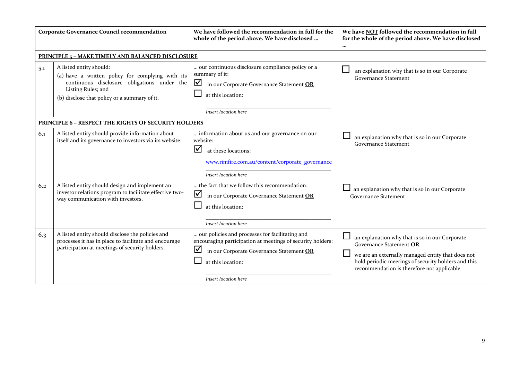| <b>Corporate Governance Council recommendation</b> |                                                                                                                                                                                                  | We have followed the recommendation in full for the<br>whole of the period above. We have disclosed                                                                                                         | We have NOT followed the recommendation in full<br>for the whole of the period above. We have disclosed<br>$\cdots$                                                                                                                 |
|----------------------------------------------------|--------------------------------------------------------------------------------------------------------------------------------------------------------------------------------------------------|-------------------------------------------------------------------------------------------------------------------------------------------------------------------------------------------------------------|-------------------------------------------------------------------------------------------------------------------------------------------------------------------------------------------------------------------------------------|
|                                                    | <b>PRINCIPLE 5 - MAKE TIMELY AND BALANCED DISCLOSURE</b>                                                                                                                                         |                                                                                                                                                                                                             |                                                                                                                                                                                                                                     |
| 5.1                                                | A listed entity should:<br>(a) have a written policy for complying with its<br>continuous disclosure obligations under the<br>Listing Rules; and<br>(b) disclose that policy or a summary of it. | our continuous disclosure compliance policy or a<br>summary of it:<br>☑<br>in our Corporate Governance Statement OR<br>at this location:                                                                    | $\Box$<br>an explanation why that is so in our Corporate<br><b>Governance Statement</b>                                                                                                                                             |
|                                                    |                                                                                                                                                                                                  | Insert location here                                                                                                                                                                                        |                                                                                                                                                                                                                                     |
|                                                    | <b>PRINCIPLE 6 - RESPECT THE RIGHTS OF SECURITY HOLDERS</b>                                                                                                                                      |                                                                                                                                                                                                             |                                                                                                                                                                                                                                     |
| 6.1                                                | A listed entity should provide information about<br>itself and its governance to investors via its website.                                                                                      | information about us and our governance on our<br>website:<br>☑<br>at these locations:<br>www.rimfire.com.au/content/corporate_governance<br>Insert location here                                           | an explanation why that is so in our Corporate<br><b>Governance Statement</b>                                                                                                                                                       |
| 6.2                                                | A listed entity should design and implement an<br>investor relations program to facilitate effective two-<br>way communication with investors.                                                   | the fact that we follow this recommendation:<br>☑<br>in our Corporate Governance Statement OR<br>at this location:<br>Insert location here                                                                  | an explanation why that is so in our Corporate<br><b>Governance Statement</b>                                                                                                                                                       |
| 6.3                                                | A listed entity should disclose the policies and<br>processes it has in place to facilitate and encourage<br>participation at meetings of security holders.                                      | our policies and processes for facilitating and<br>encouraging participation at meetings of security holders:<br>⊻<br>in our Corporate Governance Statement OR<br>at this location:<br>Insert location here | an explanation why that is so in our Corporate<br>Governance Statement OR<br>we are an externally managed entity that does not<br>hold periodic meetings of security holders and this<br>recommendation is therefore not applicable |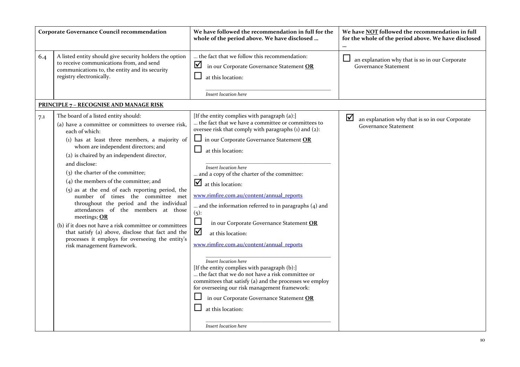|     | <b>Corporate Governance Council recommendation</b>                                                                                                                                                                                                                                                                                                                                                                                                                                                                                                                                                                                                                                                                                                | We have followed the recommendation in full for the<br>whole of the period above. We have disclosed                                                                                                                                                                                                                                                                                                                                                                                                                                                                                                                                                                                                                                                                                                                                                                                                                 | We have <b>NOT</b> followed the recommendation in full<br>for the whole of the period above. We have disclosed |
|-----|---------------------------------------------------------------------------------------------------------------------------------------------------------------------------------------------------------------------------------------------------------------------------------------------------------------------------------------------------------------------------------------------------------------------------------------------------------------------------------------------------------------------------------------------------------------------------------------------------------------------------------------------------------------------------------------------------------------------------------------------------|---------------------------------------------------------------------------------------------------------------------------------------------------------------------------------------------------------------------------------------------------------------------------------------------------------------------------------------------------------------------------------------------------------------------------------------------------------------------------------------------------------------------------------------------------------------------------------------------------------------------------------------------------------------------------------------------------------------------------------------------------------------------------------------------------------------------------------------------------------------------------------------------------------------------|----------------------------------------------------------------------------------------------------------------|
| 6.4 | A listed entity should give security holders the option<br>to receive communications from, and send<br>communications to, the entity and its security<br>registry electronically.                                                                                                                                                                                                                                                                                                                                                                                                                                                                                                                                                                 | the fact that we follow this recommendation:<br>☑<br>in our Corporate Governance Statement OR<br>at this location:<br>Insert location here                                                                                                                                                                                                                                                                                                                                                                                                                                                                                                                                                                                                                                                                                                                                                                          | $\mathcal{L}_{\mathcal{A}}$<br>an explanation why that is so in our Corporate<br><b>Governance Statement</b>   |
|     | <b>PRINCIPLE 7 - RECOGNISE AND MANAGE RISK</b>                                                                                                                                                                                                                                                                                                                                                                                                                                                                                                                                                                                                                                                                                                    |                                                                                                                                                                                                                                                                                                                                                                                                                                                                                                                                                                                                                                                                                                                                                                                                                                                                                                                     |                                                                                                                |
| 7.1 | The board of a listed entity should:<br>(a) have a committee or committees to oversee risk,<br>each of which:<br>(1) has at least three members, a majority of<br>whom are independent directors; and<br>(2) is chaired by an independent director,<br>and disclose:<br>(3) the charter of the committee;<br>(4) the members of the committee; and<br>$(5)$ as at the end of each reporting period, the<br>number of times the committee met<br>throughout the period and the individual<br>attendances of the members at those<br>meetings; OR<br>(b) if it does not have a risk committee or committees<br>that satisfy (a) above, disclose that fact and the<br>processes it employs for overseeing the entity's<br>risk management framework. | [If the entity complies with paragraph (a):]<br>the fact that we have a committee or committees to<br>oversee risk that comply with paragraphs (1) and (2):<br>$\Box$ in our Corporate Governance Statement OR<br>at this location:<br>Insert location here<br>and a copy of the charter of the committee:<br>$\mathbf{\nabla}$ at this location:<br>www.rimfire.com.au/content/annual_reports<br>and the information referred to in paragraphs (4) and<br>(5):<br>in our Corporate Governance Statement OR<br>☑<br>at this location:<br>www.rimfire.com.au/content/annual_reports<br>Insert location here<br>[If the entity complies with paragraph (b):]<br>the fact that we do not have a risk committee or<br>committees that satisfy (a) and the processes we employ<br>for overseeing our risk management framework:<br>in our Corporate Governance Statement OR<br>at this location:<br>Insert location here | ⊻<br>an explanation why that is so in our Corporate<br><b>Governance Statement</b>                             |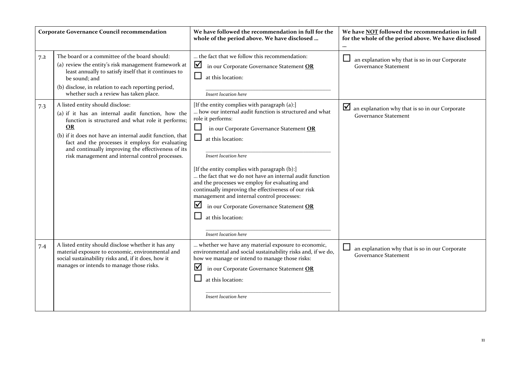|     | <b>Corporate Governance Council recommendation</b>                                                                                                                                                                                                                                                                                                                        | We have followed the recommendation in full for the<br>whole of the period above. We have disclosed                                                                                                                                                                                                                                                                                                                                                                                                                                                                                                      | We have NOT followed the recommendation in full<br>for the whole of the period above. We have disclosed<br>$\cdots$ |
|-----|---------------------------------------------------------------------------------------------------------------------------------------------------------------------------------------------------------------------------------------------------------------------------------------------------------------------------------------------------------------------------|----------------------------------------------------------------------------------------------------------------------------------------------------------------------------------------------------------------------------------------------------------------------------------------------------------------------------------------------------------------------------------------------------------------------------------------------------------------------------------------------------------------------------------------------------------------------------------------------------------|---------------------------------------------------------------------------------------------------------------------|
| 7.2 | The board or a committee of the board should:<br>(a) review the entity's risk management framework at<br>least annually to satisfy itself that it continues to<br>be sound; and<br>(b) disclose, in relation to each reporting period,<br>whether such a review has taken place.                                                                                          | the fact that we follow this recommendation:<br>$\triangledown$<br>in our Corporate Governance Statement OR<br>at this location:<br>Insert location here                                                                                                                                                                                                                                                                                                                                                                                                                                                 | an explanation why that is so in our Corporate<br><b>Governance Statement</b>                                       |
| 7.3 | A listed entity should disclose:<br>(a) if it has an internal audit function, how the<br>function is structured and what role it performs;<br>OR<br>(b) if it does not have an internal audit function, that<br>fact and the processes it employs for evaluating<br>and continually improving the effectiveness of its<br>risk management and internal control processes. | [If the entity complies with paragraph (a):]<br>how our internal audit function is structured and what<br>role it performs:<br>in our Corporate Governance Statement OR<br>$\Box$<br>$\Box$<br>at this location:<br>Insert location here<br>[If the entity complies with paragraph (b):]<br>the fact that we do not have an internal audit function<br>and the processes we employ for evaluating and<br>continually improving the effectiveness of our risk<br>management and internal control processes:<br>⊻<br>in our Corporate Governance Statement OR<br>at this location:<br>Insert location here | $\Delta$<br>an explanation why that is so in our Corporate<br><b>Governance Statement</b>                           |
| 7.4 | A listed entity should disclose whether it has any<br>material exposure to economic, environmental and<br>social sustainability risks and, if it does, how it<br>manages or intends to manage those risks.                                                                                                                                                                | whether we have any material exposure to economic,<br>environmental and social sustainability risks and, if we do,<br>how we manage or intend to manage those risks:<br>$\blacktriangledown$<br>in our Corporate Governance Statement OR<br>at this location:<br>Insert location here                                                                                                                                                                                                                                                                                                                    | an explanation why that is so in our Corporate<br><b>Governance Statement</b>                                       |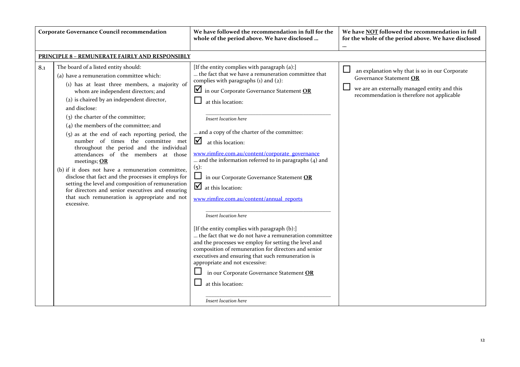|     | <b>Corporate Governance Council recommendation</b>                                                                                                                                                                                                                                                                                                                                                                                                                                                                                                                                                                                                                                                                                                                                                     | We have followed the recommendation in full for the<br>whole of the period above. We have disclosed                                                                                                                                                                                                                                                                                                                                                                                                                                                                                                                                                                                                                                                                                                                                                                                                                  | We have NOT followed the recommendation in full<br>for the whole of the period above. We have disclosed<br>$\cdots$                                                     |
|-----|--------------------------------------------------------------------------------------------------------------------------------------------------------------------------------------------------------------------------------------------------------------------------------------------------------------------------------------------------------------------------------------------------------------------------------------------------------------------------------------------------------------------------------------------------------------------------------------------------------------------------------------------------------------------------------------------------------------------------------------------------------------------------------------------------------|----------------------------------------------------------------------------------------------------------------------------------------------------------------------------------------------------------------------------------------------------------------------------------------------------------------------------------------------------------------------------------------------------------------------------------------------------------------------------------------------------------------------------------------------------------------------------------------------------------------------------------------------------------------------------------------------------------------------------------------------------------------------------------------------------------------------------------------------------------------------------------------------------------------------|-------------------------------------------------------------------------------------------------------------------------------------------------------------------------|
|     | <b>PRINCIPLE 8 - REMUNERATE FAIRLY AND RESPONSIBLY</b>                                                                                                                                                                                                                                                                                                                                                                                                                                                                                                                                                                                                                                                                                                                                                 |                                                                                                                                                                                                                                                                                                                                                                                                                                                                                                                                                                                                                                                                                                                                                                                                                                                                                                                      |                                                                                                                                                                         |
| 8.1 | The board of a listed entity should:<br>(a) have a remuneration committee which:<br>(1) has at least three members, a majority of<br>whom are independent directors; and<br>(2) is chaired by an independent director,<br>and disclose:<br>(3) the charter of the committee;<br>(4) the members of the committee; and<br>$(5)$ as at the end of each reporting period, the<br>number of times the committee met<br>throughout the period and the individual<br>attendances of the members at those<br>meetings; OR<br>(b) if it does not have a remuneration committee,<br>disclose that fact and the processes it employs for<br>setting the level and composition of remuneration<br>for directors and senior executives and ensuring<br>that such remuneration is appropriate and not<br>excessive. | [If the entity complies with paragraph (a):]<br>the fact that we have a remuneration committee that<br>complies with paragraphs $(i)$ and $(2)$ :<br>$\blacksquare$ in our Corporate Governance Statement OR<br>at this location:<br>Insert location here<br>and a copy of the charter of the committee:<br>$\Delta$ at this location:<br>www.rimfire.com.au/content/corporate_governance<br>and the information referred to in paragraphs (4) and<br>$(5)$ :<br>$\Box$<br>in our Corporate Governance Statement OR<br>$\overline{\mathbf{y}}$ at this location:<br>www.rimfire.com.au/content/annual_reports<br>Insert location here<br>[If the entity complies with paragraph (b):]<br>the fact that we do not have a remuneration committee<br>and the processes we employ for setting the level and<br>composition of remuneration for directors and senior<br>executives and ensuring that such remuneration is | an explanation why that is so in our Corporate<br>Governance Statement OR<br>we are an externally managed entity and this<br>recommendation is therefore not applicable |
|     |                                                                                                                                                                                                                                                                                                                                                                                                                                                                                                                                                                                                                                                                                                                                                                                                        | appropriate and not excessive:<br>in our Corporate Governance Statement OR<br>at this location:<br>Insert location here                                                                                                                                                                                                                                                                                                                                                                                                                                                                                                                                                                                                                                                                                                                                                                                              |                                                                                                                                                                         |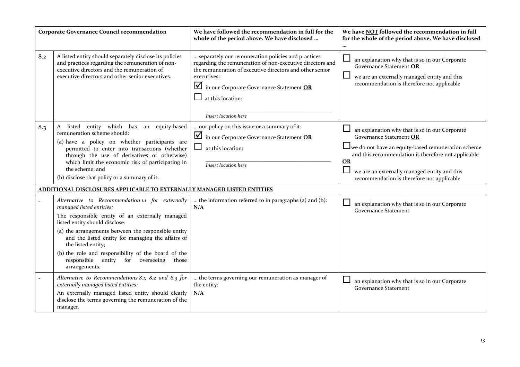|     | <b>Corporate Governance Council recommendation</b>                                                                                                                                                                                                                                                                                                                                                                                      | We have followed the recommendation in full for the<br>whole of the period above. We have disclosed                                                                                                                                                                                 | We have NOT followed the recommendation in full<br>for the whole of the period above. We have disclosed<br>$\cdots$                                                                                                                                                                          |
|-----|-----------------------------------------------------------------------------------------------------------------------------------------------------------------------------------------------------------------------------------------------------------------------------------------------------------------------------------------------------------------------------------------------------------------------------------------|-------------------------------------------------------------------------------------------------------------------------------------------------------------------------------------------------------------------------------------------------------------------------------------|----------------------------------------------------------------------------------------------------------------------------------------------------------------------------------------------------------------------------------------------------------------------------------------------|
| 8.2 | A listed entity should separately disclose its policies<br>and practices regarding the remuneration of non-<br>executive directors and the remuneration of<br>executive directors and other senior executives.                                                                                                                                                                                                                          | separately our remuneration policies and practices<br>regarding the remuneration of non-executive directors and<br>the remuneration of executive directors and other senior<br>executives:<br>in our Corporate Governance Statement OR<br>at this location:<br>Insert location here | an explanation why that is so in our Corporate<br>Governance Statement OR<br>we are an externally managed entity and this<br>recommendation is therefore not applicable                                                                                                                      |
| 8.3 | listed entity which has an equity-based<br>A<br>remuneration scheme should:<br>(a) have a policy on whether participants are<br>permitted to enter into transactions (whether<br>through the use of derivatives or otherwise)<br>which limit the economic risk of participating in<br>the scheme; and<br>(b) disclose that policy or a summary of it.<br><b>ADDITIONAL DISCLOSURES APPLICABLE TO EXTERNALLY MANAGED LISTED ENTITIES</b> | our policy on this issue or a summary of it:<br>in our Corporate Governance Statement OR<br>at this location:<br>Insert location here                                                                                                                                               | an explanation why that is so in our Corporate<br>Governance Statement OR<br>□ we do not have an equity-based remuneration scheme<br>and this recommendation is therefore not applicable<br>OR<br>we are an externally managed entity and this<br>recommendation is therefore not applicable |
|     | Alternative to Recommendation 1.1 for externally<br>managed listed entities:<br>The responsible entity of an externally managed<br>listed entity should disclose:<br>(a) the arrangements between the responsible entity<br>and the listed entity for managing the affairs of<br>the listed entity;<br>(b) the role and responsibility of the board of the<br>for overseeing<br>responsible<br>entity<br>those<br>arrangements.         | the information referred to in paragraphs (a) and (b):<br>N/A                                                                                                                                                                                                                       | an explanation why that is so in our Corporate<br><b>Governance Statement</b>                                                                                                                                                                                                                |
|     | Alternative to Recommendations 8.1, 8.2 and 8.3 for<br>externally managed listed entities:<br>An externally managed listed entity should clearly<br>disclose the terms governing the remuneration of the<br>manager.                                                                                                                                                                                                                    | the terms governing our remuneration as manager of<br>the entity:<br>N/A                                                                                                                                                                                                            | an explanation why that is so in our Corporate<br><b>Governance Statement</b>                                                                                                                                                                                                                |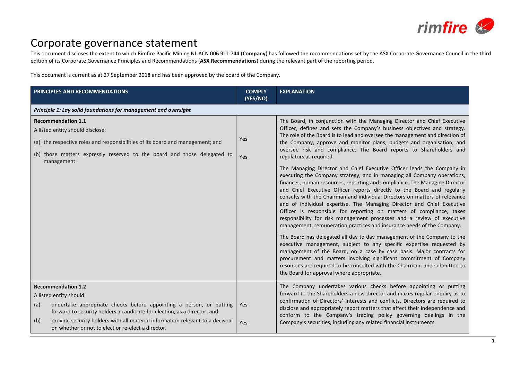

## Corporate governance statement

This document discloses the extent to which Rimfire Pacific Mining NL ACN 006 911 744 (**Company**) has followed the recommendations set by the ASX Corporate Governance Council in the third edition of its Corporate Governance Principles and Recommendations (**ASX Recommendations**) during the relevant part of the reporting period.

This document is current as at 27 September 2018 and has been approved by the board of the Company.

| PRINCIPLES AND RECOMMENDATIONS                                                                                                                                                                                                                                                                                                                               | <b>COMPLY</b><br>(YES/NO) | <b>EXPLANATION</b>                                                                                                                                                                                                                                                                                                                                                                                                                                                                                                                                                                                                                                                                                                                                                                                                                                                                                                                                                                                                                                                                                                                                                                                                                                                                                                                                                                                                                                                                                                                               |
|--------------------------------------------------------------------------------------------------------------------------------------------------------------------------------------------------------------------------------------------------------------------------------------------------------------------------------------------------------------|---------------------------|--------------------------------------------------------------------------------------------------------------------------------------------------------------------------------------------------------------------------------------------------------------------------------------------------------------------------------------------------------------------------------------------------------------------------------------------------------------------------------------------------------------------------------------------------------------------------------------------------------------------------------------------------------------------------------------------------------------------------------------------------------------------------------------------------------------------------------------------------------------------------------------------------------------------------------------------------------------------------------------------------------------------------------------------------------------------------------------------------------------------------------------------------------------------------------------------------------------------------------------------------------------------------------------------------------------------------------------------------------------------------------------------------------------------------------------------------------------------------------------------------------------------------------------------------|
| Principle 1: Lay solid foundations for management and oversight                                                                                                                                                                                                                                                                                              |                           |                                                                                                                                                                                                                                                                                                                                                                                                                                                                                                                                                                                                                                                                                                                                                                                                                                                                                                                                                                                                                                                                                                                                                                                                                                                                                                                                                                                                                                                                                                                                                  |
| <b>Recommendation 1.1</b><br>A listed entity should disclose:<br>(a) the respective roles and responsibilities of its board and management; and<br>(b) those matters expressly reserved to the board and those delegated to<br>management.                                                                                                                   | Yes<br>Yes                | The Board, in conjunction with the Managing Director and Chief Executive<br>Officer, defines and sets the Company's business objectives and strategy.<br>The role of the Board is to lead and oversee the management and direction of<br>the Company, approve and monitor plans, budgets and organisation, and<br>oversee risk and compliance. The Board reports to Shareholders and<br>regulators as required.<br>The Managing Director and Chief Executive Officer leads the Company in<br>executing the Company strategy, and in managing all Company operations,<br>finances, human resources, reporting and compliance. The Managing Director<br>and Chief Executive Officer reports directly to the Board and regularly<br>consults with the Chairman and individual Directors on matters of relevance<br>and of individual expertise. The Managing Director and Chief Executive<br>Officer is responsible for reporting on matters of compliance, takes<br>responsibility for risk management processes and a review of executive<br>management, remuneration practices and insurance needs of the Company.<br>The Board has delegated all day to day management of the Company to the<br>executive management, subject to any specific expertise requested by<br>management of the Board, on a case by case basis. Major contracts for<br>procurement and matters involving significant commitment of Company<br>resources are required to be consulted with the Chairman, and submitted to<br>the Board for approval where appropriate. |
| <b>Recommendation 1.2</b><br>A listed entity should:<br>undertake appropriate checks before appointing a person, or putting<br>(a)<br>forward to security holders a candidate for election, as a director; and<br>provide security holders with all material information relevant to a decision<br>(b)<br>on whether or not to elect or re-elect a director. | Yes<br>Yes                | The Company undertakes various checks before appointing or putting<br>forward to the Shareholders a new director and makes regular enquiry as to<br>confirmation of Directors' interests and conflicts. Directors are required to<br>disclose and appropriately report matters that affect their independence and<br>conform to the Company's trading policy governing dealings in the<br>Company's securities, including any related financial instruments.                                                                                                                                                                                                                                                                                                                                                                                                                                                                                                                                                                                                                                                                                                                                                                                                                                                                                                                                                                                                                                                                                     |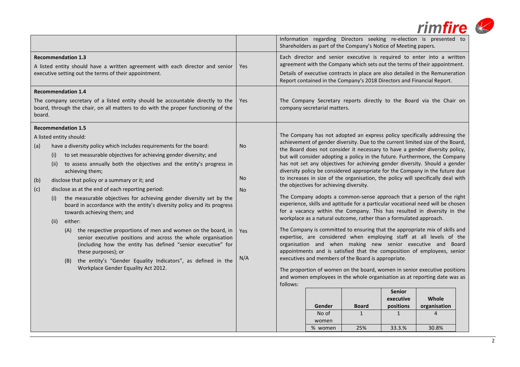|                                                                                                                                                                     |                                                                                                                                                                                                                                                                                                                                                                                                                                                                                                                                                                                                                                                                                                                                                                                                                                                                                                                                                           |                                                   |          |                                                            | Information regarding Directors seeking re-election is presented to<br>Shareholders as part of the Company's Notice of Meeting papers.                                                                                                                                                                                                                                                                                                                                                                                                                                                                                                                                                                                                                                                                                                                                                                                                                                                                                                                                                                                                                                                                                                                                                                                                                                                                                                    |                                                         |                                         |  |
|---------------------------------------------------------------------------------------------------------------------------------------------------------------------|-----------------------------------------------------------------------------------------------------------------------------------------------------------------------------------------------------------------------------------------------------------------------------------------------------------------------------------------------------------------------------------------------------------------------------------------------------------------------------------------------------------------------------------------------------------------------------------------------------------------------------------------------------------------------------------------------------------------------------------------------------------------------------------------------------------------------------------------------------------------------------------------------------------------------------------------------------------|---------------------------------------------------|----------|------------------------------------------------------------|-------------------------------------------------------------------------------------------------------------------------------------------------------------------------------------------------------------------------------------------------------------------------------------------------------------------------------------------------------------------------------------------------------------------------------------------------------------------------------------------------------------------------------------------------------------------------------------------------------------------------------------------------------------------------------------------------------------------------------------------------------------------------------------------------------------------------------------------------------------------------------------------------------------------------------------------------------------------------------------------------------------------------------------------------------------------------------------------------------------------------------------------------------------------------------------------------------------------------------------------------------------------------------------------------------------------------------------------------------------------------------------------------------------------------------------------|---------------------------------------------------------|-----------------------------------------|--|
| <b>Recommendation 1.3</b><br>A listed entity should have a written agreement with each director and senior<br>executive setting out the terms of their appointment. |                                                                                                                                                                                                                                                                                                                                                                                                                                                                                                                                                                                                                                                                                                                                                                                                                                                                                                                                                           | Yes                                               |          |                                                            | Each director and senior executive is required to enter into a written<br>agreement with the Company which sets out the terms of their appointment.<br>Details of executive contracts in place are also detailed in the Remuneration<br>Report contained in the Company's 2018 Directors and Financial Report.                                                                                                                                                                                                                                                                                                                                                                                                                                                                                                                                                                                                                                                                                                                                                                                                                                                                                                                                                                                                                                                                                                                            |                                                         |                                         |  |
| board.                                                                                                                                                              | <b>Recommendation 1.4</b><br>The company secretary of a listed entity should be accountable directly to the<br>board, through the chair, on all matters to do with the proper functioning of the                                                                                                                                                                                                                                                                                                                                                                                                                                                                                                                                                                                                                                                                                                                                                          | Yes                                               |          | company secretarial matters.                               | The Company Secretary reports directly to the Board via the Chair on                                                                                                                                                                                                                                                                                                                                                                                                                                                                                                                                                                                                                                                                                                                                                                                                                                                                                                                                                                                                                                                                                                                                                                                                                                                                                                                                                                      |                                                         |                                         |  |
| (a)<br>(b)<br>(c)                                                                                                                                                   | <b>Recommendation 1.5</b><br>A listed entity should:<br>have a diversity policy which includes requirements for the board:<br>to set measurable objectives for achieving gender diversity; and<br>(i)<br>(ii) to assess annually both the objectives and the entity's progress in<br>achieving them;<br>disclose that policy or a summary or it; and<br>disclose as at the end of each reporting period:<br>the measurable objectives for achieving gender diversity set by the<br>(i)<br>board in accordance with the entity's diversity policy and its progress<br>towards achieving them; and<br>either:<br>(ii)<br>(A) the respective proportions of men and women on the board, in<br>senior executive positions and across the whole organisation<br>(including how the entity has defined "senior executive" for<br>these purposes); or<br>(B) the entity's "Gender Equality Indicators", as defined in the<br>Workplace Gender Equality Act 2012. | <b>No</b><br><b>No</b><br><b>No</b><br>Yes<br>N/A | follows: | the objectives for achieving diversity.<br>Gender<br>No of | The Company has not adopted an express policy specifically addressing the<br>achievement of gender diversity. Due to the current limited size of the Board,<br>the Board does not consider it necessary to have a gender diversity policy,<br>but will consider adopting a policy in the future. Furthermore, the Company<br>has not set any objectives for achieving gender diversity. Should a gender<br>diversity policy be considered appropriate for the Company in the future due<br>to increases in size of the organisation, the policy will specifically deal with<br>The Company adopts a common-sense approach that a person of the right<br>experience, skills and aptitude for a particular vocational need will be chosen<br>for a vacancy within the Company. This has resulted in diversity in the<br>workplace as a natural outcome, rather than a formulated approach.<br>The Company is committed to ensuring that the appropriate mix of skills and<br>expertise, are considered when employing staff at all levels of the<br>organisation and when making new senior executive and Board<br>appointments and is satisfied that the composition of employees, senior<br>executives and members of the Board is appropriate.<br>The proportion of women on the board, women in senior executive positions<br>and women employees in the whole organisation as at reporting date was as<br><b>Board</b><br>$\mathbf{1}$ | <b>Senior</b><br>executive<br>positions<br>$\mathbf{1}$ | Whole<br>organisation<br>$\overline{4}$ |  |
|                                                                                                                                                                     |                                                                                                                                                                                                                                                                                                                                                                                                                                                                                                                                                                                                                                                                                                                                                                                                                                                                                                                                                           |                                                   |          | women<br>% women                                           | 25%                                                                                                                                                                                                                                                                                                                                                                                                                                                                                                                                                                                                                                                                                                                                                                                                                                                                                                                                                                                                                                                                                                                                                                                                                                                                                                                                                                                                                                       | 33.3.%                                                  | 30.8%                                   |  |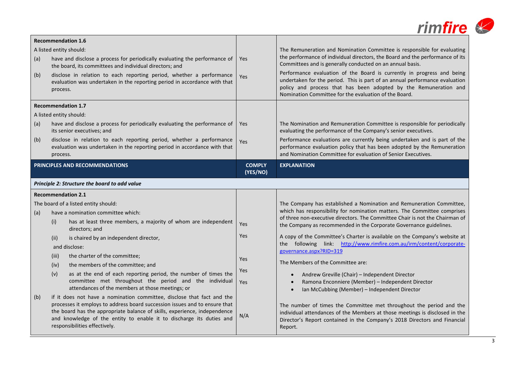|            |                                                                                                                                                                                                                                                                                                                                                                                                                                                                                                  |                                 | $rim$ fire                                                                                                                                                                                                                                                                                                                                                                                                                                                                                                                                                                                                                          |
|------------|--------------------------------------------------------------------------------------------------------------------------------------------------------------------------------------------------------------------------------------------------------------------------------------------------------------------------------------------------------------------------------------------------------------------------------------------------------------------------------------------------|---------------------------------|-------------------------------------------------------------------------------------------------------------------------------------------------------------------------------------------------------------------------------------------------------------------------------------------------------------------------------------------------------------------------------------------------------------------------------------------------------------------------------------------------------------------------------------------------------------------------------------------------------------------------------------|
| (a)<br>(b) | <b>Recommendation 1.6</b><br>A listed entity should:<br>have and disclose a process for periodically evaluating the performance of<br>the board, its committees and individual directors; and<br>disclose in relation to each reporting period, whether a performance<br>evaluation was undertaken in the reporting period in accordance with that<br>process.<br><b>Recommendation 1.7</b>                                                                                                      | <b>Yes</b><br>Yes               | The Remuneration and Nomination Committee is responsible for evaluating<br>the performance of individual directors, the Board and the performance of its<br>Committees and is generally conducted on an annual basis.<br>Performance evaluation of the Board is currently in progress and being<br>undertaken for the period. This is part of an annual performance evaluation<br>policy and process that has been adopted by the Remuneration and<br>Nomination Committee for the evaluation of the Board.                                                                                                                         |
| (a)<br>(b) | A listed entity should:<br>have and disclose a process for periodically evaluating the performance of<br>its senior executives; and<br>disclose in relation to each reporting period, whether a performance<br>evaluation was undertaken in the reporting period in accordance with that<br>process.                                                                                                                                                                                             | <b>Yes</b><br>Yes               | The Nomination and Remuneration Committee is responsible for periodically<br>evaluating the performance of the Company's senior executives.<br>Performance evaluations are currently being undertaken and is part of the<br>performance evaluation policy that has been adopted by the Remuneration<br>and Nomination Committee for evaluation of Senior Executives.                                                                                                                                                                                                                                                                |
|            | PRINCIPLES AND RECOMMENDATIONS<br>Principle 2: Structure the board to add value                                                                                                                                                                                                                                                                                                                                                                                                                  | <b>COMPLY</b><br>(YES/NO)       | <b>EXPLANATION</b>                                                                                                                                                                                                                                                                                                                                                                                                                                                                                                                                                                                                                  |
| (a)        | <b>Recommendation 2.1</b><br>The board of a listed entity should:<br>have a nomination committee which:<br>has at least three members, a majority of whom are independent<br>(i)<br>directors; and<br>is chaired by an independent director,<br>(ii)<br>and disclose:<br>the charter of the committee;<br>(iii)<br>the members of the committee; and<br>(iv)<br>as at the end of each reporting period, the number of times the<br>(v)<br>committee met throughout the period and the individual | Yes<br>Yes<br>Yes<br>Yes<br>Yes | The Company has established a Nomination and Remuneration Committee,<br>which has responsibility for nomination matters. The Committee comprises<br>of three non-executive directors. The Committee Chair is not the Chairman of<br>the Company as recommended in the Corporate Governance guidelines.<br>A copy of the Committee's Charter is available on the Company's website at<br>the following link: http://www.rimfire.com.au/irm/content/corporate-<br>governance.aspx?RID=319<br>The Members of the Committee are:<br>Andrew Greville (Chair) - Independent Director<br>Ramona Enconniere (Member) - Independent Director |
| (b)        | attendances of the members at those meetings; or<br>if it does not have a nomination committee, disclose that fact and the<br>processes it employs to address board succession issues and to ensure that<br>the board has the appropriate balance of skills, experience, independence<br>and knowledge of the entity to enable it to discharge its duties and<br>responsibilities effectively.                                                                                                   | N/A                             | Ian McCubbing (Member) - Independent Director<br>The number of times the Committee met throughout the period and the<br>individual attendances of the Members at those meetings is disclosed in the<br>Director's Report contained in the Company's 2018 Directors and Financial<br>Report.                                                                                                                                                                                                                                                                                                                                         |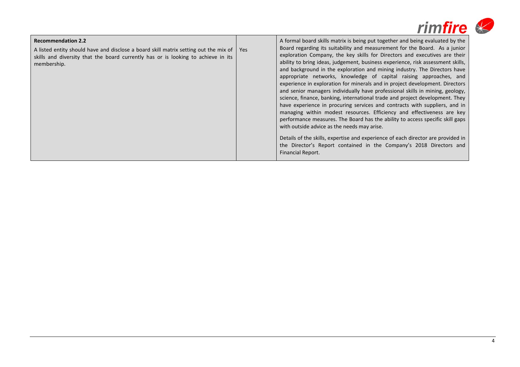|                                                                                                                                                                                                                       |            | rimfire                                                                                                                                                                                                                                                                                                                                                                                                                                                                                                                                                                                                                                                                                                                                                                                                                                                                                                                                                                                                                                                                                                                                                                                                         |
|-----------------------------------------------------------------------------------------------------------------------------------------------------------------------------------------------------------------------|------------|-----------------------------------------------------------------------------------------------------------------------------------------------------------------------------------------------------------------------------------------------------------------------------------------------------------------------------------------------------------------------------------------------------------------------------------------------------------------------------------------------------------------------------------------------------------------------------------------------------------------------------------------------------------------------------------------------------------------------------------------------------------------------------------------------------------------------------------------------------------------------------------------------------------------------------------------------------------------------------------------------------------------------------------------------------------------------------------------------------------------------------------------------------------------------------------------------------------------|
| <b>Recommendation 2.2</b><br>A listed entity should have and disclose a board skill matrix setting out the mix of<br>skills and diversity that the board currently has or is looking to achieve in its<br>membership. | <b>Yes</b> | A formal board skills matrix is being put together and being evaluated by the<br>Board regarding its suitability and measurement for the Board. As a junior<br>exploration Company, the key skills for Directors and executives are their<br>ability to bring ideas, judgement, business experience, risk assessment skills,<br>and background in the exploration and mining industry. The Directors have<br>appropriate networks, knowledge of capital raising approaches, and<br>experience in exploration for minerals and in project development. Directors<br>and senior managers individually have professional skills in mining, geology,<br>science, finance, banking, international trade and project development. They<br>have experience in procuring services and contracts with suppliers, and in<br>managing within modest resources. Efficiency and effectiveness are key<br>performance measures. The Board has the ability to access specific skill gaps<br>with outside advice as the needs may arise.<br>Details of the skills, expertise and experience of each director are provided in<br>the Director's Report contained in the Company's 2018 Directors and<br><b>Financial Report.</b> |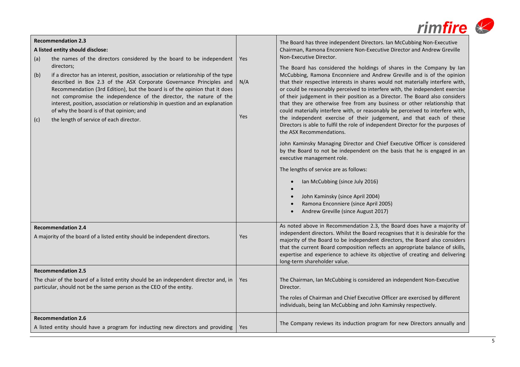|                                                                                                                                                                                                                                                                                                                                                                                                                                                                                                                  |            | <i>rimfire</i>                                                                                                                                                                                                                                                                                                                                                                                                                                                                                                                                                                                                                                                                                                                                                                                                                                                                                                                                                                                                                                                                                                                                 |
|------------------------------------------------------------------------------------------------------------------------------------------------------------------------------------------------------------------------------------------------------------------------------------------------------------------------------------------------------------------------------------------------------------------------------------------------------------------------------------------------------------------|------------|------------------------------------------------------------------------------------------------------------------------------------------------------------------------------------------------------------------------------------------------------------------------------------------------------------------------------------------------------------------------------------------------------------------------------------------------------------------------------------------------------------------------------------------------------------------------------------------------------------------------------------------------------------------------------------------------------------------------------------------------------------------------------------------------------------------------------------------------------------------------------------------------------------------------------------------------------------------------------------------------------------------------------------------------------------------------------------------------------------------------------------------------|
| <b>Recommendation 2.3</b><br>A listed entity should disclose:<br>the names of the directors considered by the board to be independent<br>(a)                                                                                                                                                                                                                                                                                                                                                                     | Yes        | The Board has three independent Directors. Ian McCubbing Non-Executive<br>Chairman, Ramona Enconniere Non-Executive Director and Andrew Greville<br>Non-Executive Director.                                                                                                                                                                                                                                                                                                                                                                                                                                                                                                                                                                                                                                                                                                                                                                                                                                                                                                                                                                    |
| directors;<br>if a director has an interest, position, association or relationship of the type<br>(b)<br>described in Box 2.3 of the ASX Corporate Governance Principles and<br>Recommendation (3rd Edition), but the board is of the opinion that it does<br>not compromise the independence of the director, the nature of the<br>interest, position, association or relationship in question and an explanation<br>of why the board is of that opinion; and<br>the length of service of each director.<br>(c) | N/A<br>Yes | The Board has considered the holdings of shares in the Company by Ian<br>McCubbing, Ramona Enconniere and Andrew Greville and is of the opinion<br>that their respective interests in shares would not materially interfere with,<br>or could be reasonably perceived to interfere with, the independent exercise<br>of their judgement in their position as a Director. The Board also considers<br>that they are otherwise free from any business or other relationship that<br>could materially interfere with, or reasonably be perceived to interfere with,<br>the independent exercise of their judgement, and that each of these<br>Directors is able to fulfil the role of independent Director for the purposes of<br>the ASX Recommendations.<br>John Kaminsky Managing Director and Chief Executive Officer is considered<br>by the Board to not be independent on the basis that he is engaged in an<br>executive management role.<br>The lengths of service are as follows:<br>Ian McCubbing (since July 2016)<br>John Kaminsky (since April 2004)<br>Ramona Enconniere (since April 2005)<br>Andrew Greville (since August 2017) |
| <b>Recommendation 2.4</b><br>A majority of the board of a listed entity should be independent directors.                                                                                                                                                                                                                                                                                                                                                                                                         | Yes        | As noted above in Recommendation 2.3, the Board does have a majority of<br>independent directors. Whilst the Board recognises that it is desirable for the<br>majority of the Board to be independent directors, the Board also considers<br>that the current Board composition reflects an appropriate balance of skills,<br>expertise and experience to achieve its objective of creating and delivering<br>long-term shareholder value.                                                                                                                                                                                                                                                                                                                                                                                                                                                                                                                                                                                                                                                                                                     |
| <b>Recommendation 2.5</b><br>The chair of the board of a listed entity should be an independent director and, in<br>particular, should not be the same person as the CEO of the entity.                                                                                                                                                                                                                                                                                                                          | Yes        | The Chairman, Ian McCubbing is considered an independent Non-Executive<br>Director.<br>The roles of Chairman and Chief Executive Officer are exercised by different<br>individuals, being Ian McCubbing and John Kaminsky respectively.                                                                                                                                                                                                                                                                                                                                                                                                                                                                                                                                                                                                                                                                                                                                                                                                                                                                                                        |
| <b>Recommendation 2.6</b><br>A listed entity should have a program for inducting new directors and providing                                                                                                                                                                                                                                                                                                                                                                                                     | Yes        | The Company reviews its induction program for new Directors annually and                                                                                                                                                                                                                                                                                                                                                                                                                                                                                                                                                                                                                                                                                                                                                                                                                                                                                                                                                                                                                                                                       |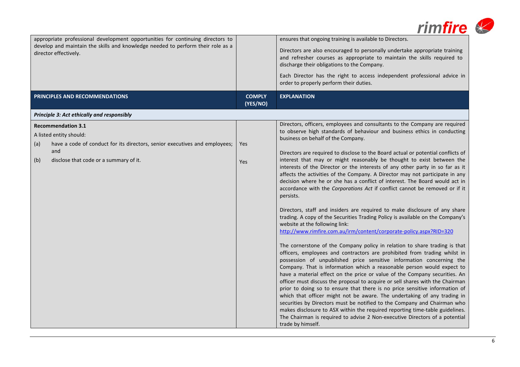|                                                                                                                                                                                                   |                           | rimfire                                                                                                                                                                                                                                                                                                                                                                                                                                                                                                                                                                                                                                                                                                                                                                                                                                                                                                                                                                                                                                                                                                                                                                                                                                                                                                                                                                                                                                                                                                                                                                                                                                                                                                                                                                                                                                                                               |
|---------------------------------------------------------------------------------------------------------------------------------------------------------------------------------------------------|---------------------------|---------------------------------------------------------------------------------------------------------------------------------------------------------------------------------------------------------------------------------------------------------------------------------------------------------------------------------------------------------------------------------------------------------------------------------------------------------------------------------------------------------------------------------------------------------------------------------------------------------------------------------------------------------------------------------------------------------------------------------------------------------------------------------------------------------------------------------------------------------------------------------------------------------------------------------------------------------------------------------------------------------------------------------------------------------------------------------------------------------------------------------------------------------------------------------------------------------------------------------------------------------------------------------------------------------------------------------------------------------------------------------------------------------------------------------------------------------------------------------------------------------------------------------------------------------------------------------------------------------------------------------------------------------------------------------------------------------------------------------------------------------------------------------------------------------------------------------------------------------------------------------------|
| appropriate professional development opportunities for continuing directors to<br>develop and maintain the skills and knowledge needed to perform their role as a<br>director effectively.        |                           | ensures that ongoing training is available to Directors.<br>Directors are also encouraged to personally undertake appropriate training<br>and refresher courses as appropriate to maintain the skills required to<br>discharge their obligations to the Company.<br>Each Director has the right to access independent professional advice in                                                                                                                                                                                                                                                                                                                                                                                                                                                                                                                                                                                                                                                                                                                                                                                                                                                                                                                                                                                                                                                                                                                                                                                                                                                                                                                                                                                                                                                                                                                                          |
|                                                                                                                                                                                                   |                           | order to properly perform their duties.                                                                                                                                                                                                                                                                                                                                                                                                                                                                                                                                                                                                                                                                                                                                                                                                                                                                                                                                                                                                                                                                                                                                                                                                                                                                                                                                                                                                                                                                                                                                                                                                                                                                                                                                                                                                                                               |
| PRINCIPLES AND RECOMMENDATIONS                                                                                                                                                                    | <b>COMPLY</b><br>(YES/NO) | <b>EXPLANATION</b>                                                                                                                                                                                                                                                                                                                                                                                                                                                                                                                                                                                                                                                                                                                                                                                                                                                                                                                                                                                                                                                                                                                                                                                                                                                                                                                                                                                                                                                                                                                                                                                                                                                                                                                                                                                                                                                                    |
| Principle 3: Act ethically and responsibly                                                                                                                                                        |                           |                                                                                                                                                                                                                                                                                                                                                                                                                                                                                                                                                                                                                                                                                                                                                                                                                                                                                                                                                                                                                                                                                                                                                                                                                                                                                                                                                                                                                                                                                                                                                                                                                                                                                                                                                                                                                                                                                       |
| <b>Recommendation 3.1</b><br>A listed entity should:<br>have a code of conduct for its directors, senior executives and employees;<br>(a)<br>and<br>(b)<br>disclose that code or a summary of it. | Yes<br>Yes                | Directors, officers, employees and consultants to the Company are required<br>to observe high standards of behaviour and business ethics in conducting<br>business on behalf of the Company.<br>Directors are required to disclose to the Board actual or potential conflicts of<br>interest that may or might reasonably be thought to exist between the<br>interests of the Director or the interests of any other party in so far as it<br>affects the activities of the Company. A Director may not participate in any<br>decision where he or she has a conflict of interest. The Board would act in<br>accordance with the Corporations Act if conflict cannot be removed or if it<br>persists.<br>Directors, staff and insiders are required to make disclosure of any share<br>trading. A copy of the Securities Trading Policy is available on the Company's<br>website at the following link:<br>http://www.rimfire.com.au/irm/content/corporate-policy.aspx?RID=320<br>The cornerstone of the Company policy in relation to share trading is that<br>officers, employees and contractors are prohibited from trading whilst in<br>possession of unpublished price sensitive information concerning the<br>Company. That is information which a reasonable person would expect to<br>have a material effect on the price or value of the Company securities. An<br>officer must discuss the proposal to acquire or sell shares with the Chairman<br>prior to doing so to ensure that there is no price sensitive information of<br>which that officer might not be aware. The undertaking of any trading in<br>securities by Directors must be notified to the Company and Chairman who<br>makes disclosure to ASX within the required reporting time-table guidelines.<br>The Chairman is required to advise 2 Non-executive Directors of a potential<br>trade by himself. |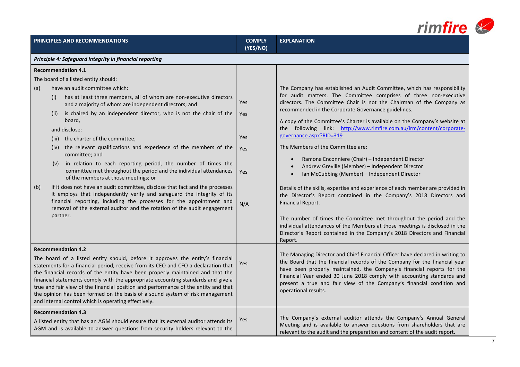|            |                                                                                                                                                                                                                                                                                                                                                                                                                                                                                                                                                                                                                                                                                                                                                                                                                                                                                                                                         |                                        | rimfire                                                                                                                                                                                                                                                                                                                                                                                                                                                                                                                                                                                                                                                                                                                                                                                                                                                                                                                                                                                                                                                                     |
|------------|-----------------------------------------------------------------------------------------------------------------------------------------------------------------------------------------------------------------------------------------------------------------------------------------------------------------------------------------------------------------------------------------------------------------------------------------------------------------------------------------------------------------------------------------------------------------------------------------------------------------------------------------------------------------------------------------------------------------------------------------------------------------------------------------------------------------------------------------------------------------------------------------------------------------------------------------|----------------------------------------|-----------------------------------------------------------------------------------------------------------------------------------------------------------------------------------------------------------------------------------------------------------------------------------------------------------------------------------------------------------------------------------------------------------------------------------------------------------------------------------------------------------------------------------------------------------------------------------------------------------------------------------------------------------------------------------------------------------------------------------------------------------------------------------------------------------------------------------------------------------------------------------------------------------------------------------------------------------------------------------------------------------------------------------------------------------------------------|
|            | PRINCIPLES AND RECOMMENDATIONS                                                                                                                                                                                                                                                                                                                                                                                                                                                                                                                                                                                                                                                                                                                                                                                                                                                                                                          | <b>COMPLY</b><br>(YES/NO)              | <b>EXPLANATION</b>                                                                                                                                                                                                                                                                                                                                                                                                                                                                                                                                                                                                                                                                                                                                                                                                                                                                                                                                                                                                                                                          |
|            | Principle 4: Safeguard integrity in financial reporting                                                                                                                                                                                                                                                                                                                                                                                                                                                                                                                                                                                                                                                                                                                                                                                                                                                                                 |                                        |                                                                                                                                                                                                                                                                                                                                                                                                                                                                                                                                                                                                                                                                                                                                                                                                                                                                                                                                                                                                                                                                             |
|            | <b>Recommendation 4.1</b><br>The board of a listed entity should:                                                                                                                                                                                                                                                                                                                                                                                                                                                                                                                                                                                                                                                                                                                                                                                                                                                                       |                                        |                                                                                                                                                                                                                                                                                                                                                                                                                                                                                                                                                                                                                                                                                                                                                                                                                                                                                                                                                                                                                                                                             |
| (a)<br>(b) | have an audit committee which:<br>has at least three members, all of whom are non-executive directors<br>(i)<br>and a majority of whom are independent directors; and<br>is chaired by an independent director, who is not the chair of the<br>(ii)<br>board,<br>and disclose:<br>the charter of the committee;<br>(iii)<br>the relevant qualifications and experience of the members of the<br>(iv)<br>committee; and<br>in relation to each reporting period, the number of times the<br>(V)<br>committee met throughout the period and the individual attendances<br>of the members at those meetings; or<br>if it does not have an audit committee, disclose that fact and the processes<br>it employs that independently verify and safeguard the integrity of its<br>financial reporting, including the processes for the appointment and<br>removal of the external auditor and the rotation of the audit engagement<br>partner. | Yes<br>Yes<br>Yes<br>Yes<br>Yes<br>N/A | The Company has established an Audit Committee, which has responsibility<br>for audit matters. The Committee comprises of three non-executive<br>directors. The Committee Chair is not the Chairman of the Company as<br>recommended in the Corporate Governance guidelines.<br>A copy of the Committee's Charter is available on the Company's website at<br>the following link: http://www.rimfire.com.au/irm/content/corporate-<br>governance.aspx?RID=319<br>The Members of the Committee are:<br>Ramona Enconniere (Chair) – Independent Director<br>Andrew Greville (Member) - Independent Director<br>Ian McCubbing (Member) - Independent Director<br>Details of the skills, expertise and experience of each member are provided in<br>the Director's Report contained in the Company's 2018 Directors and<br>Financial Report.<br>The number of times the Committee met throughout the period and the<br>individual attendances of the Members at those meetings is disclosed in the<br>Director's Report contained in the Company's 2018 Directors and Financial |
|            | <b>Recommendation 4.2</b><br>The board of a listed entity should, before it approves the entity's financial<br>statements for a financial period, receive from its CEO and CFO a declaration that<br>the financial records of the entity have been properly maintained and that the<br>financial statements comply with the appropriate accounting standards and give a<br>true and fair view of the financial position and performance of the entity and that<br>the opinion has been formed on the basis of a sound system of risk management<br>and internal control which is operating effectively.                                                                                                                                                                                                                                                                                                                                 | Yes                                    | Report.<br>The Managing Director and Chief Financial Officer have declared in writing to<br>the Board that the financial records of the Company for the financial year<br>have been properly maintained, the Company's financial reports for the<br>Financial Year ended 30 June 2018 comply with accounting standards and<br>present a true and fair view of the Company's financial condition and<br>operational results.                                                                                                                                                                                                                                                                                                                                                                                                                                                                                                                                                                                                                                                 |
|            | <b>Recommendation 4.3</b><br>A listed entity that has an AGM should ensure that its external auditor attends its<br>AGM and is available to answer questions from security holders relevant to the                                                                                                                                                                                                                                                                                                                                                                                                                                                                                                                                                                                                                                                                                                                                      | Yes                                    | The Company's external auditor attends the Company's Annual General<br>Meeting and is available to answer questions from shareholders that are<br>relevant to the audit and the preparation and content of the audit report.                                                                                                                                                                                                                                                                                                                                                                                                                                                                                                                                                                                                                                                                                                                                                                                                                                                |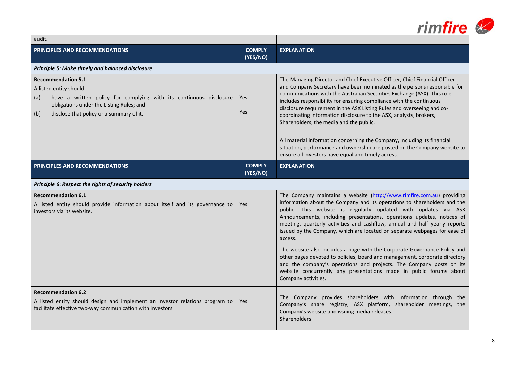|                                                                                                                                                                                                                                  |                           | rimfire &                                                                                                                                                                                                                                                                                                                                                                                                                                                                                                                                                                       |
|----------------------------------------------------------------------------------------------------------------------------------------------------------------------------------------------------------------------------------|---------------------------|---------------------------------------------------------------------------------------------------------------------------------------------------------------------------------------------------------------------------------------------------------------------------------------------------------------------------------------------------------------------------------------------------------------------------------------------------------------------------------------------------------------------------------------------------------------------------------|
| audit.                                                                                                                                                                                                                           |                           |                                                                                                                                                                                                                                                                                                                                                                                                                                                                                                                                                                                 |
| <b>PRINCIPLES AND RECOMMENDATIONS</b>                                                                                                                                                                                            | <b>COMPLY</b><br>(YES/NO) | <b>EXPLANATION</b>                                                                                                                                                                                                                                                                                                                                                                                                                                                                                                                                                              |
| Principle 5: Make timely and balanced disclosure                                                                                                                                                                                 |                           |                                                                                                                                                                                                                                                                                                                                                                                                                                                                                                                                                                                 |
| <b>Recommendation 5.1</b><br>A listed entity should:<br>have a written policy for complying with its continuous disclosure<br>(a)<br>obligations under the Listing Rules; and<br>disclose that policy or a summary of it.<br>(b) | <b>Yes</b><br><b>Yes</b>  | The Managing Director and Chief Executive Officer, Chief Financial Officer<br>and Company Secretary have been nominated as the persons responsible for<br>communications with the Australian Securities Exchange (ASX). This role<br>includes responsibility for ensuring compliance with the continuous<br>disclosure requirement in the ASX Listing Rules and overseeing and co-<br>coordinating information disclosure to the ASX, analysts, brokers,<br>Shareholders, the media and the public.<br>All material information concerning the Company, including its financial |
|                                                                                                                                                                                                                                  |                           | situation, performance and ownership are posted on the Company website to<br>ensure all investors have equal and timely access.                                                                                                                                                                                                                                                                                                                                                                                                                                                 |
| PRINCIPLES AND RECOMMENDATIONS                                                                                                                                                                                                   | <b>COMPLY</b><br>(YES/NO) | <b>EXPLANATION</b>                                                                                                                                                                                                                                                                                                                                                                                                                                                                                                                                                              |
| Principle 6: Respect the rights of security holders                                                                                                                                                                              |                           |                                                                                                                                                                                                                                                                                                                                                                                                                                                                                                                                                                                 |
| <b>Recommendation 6.1</b><br>A listed entity should provide information about itself and its governance to<br>investors via its website.                                                                                         | <b>Yes</b>                | The Company maintains a website (http://www.rimfire.com.au) providing<br>information about the Company and its operations to shareholders and the<br>public. This website is regularly updated with updates via ASX<br>Announcements, including presentations, operations updates, notices of<br>meeting, quarterly activities and cashflow, annual and half yearly reports<br>issued by the Company, which are located on separate webpages for ease of<br>access.                                                                                                             |
|                                                                                                                                                                                                                                  |                           | The website also includes a page with the Corporate Governance Policy and<br>other pages devoted to policies, board and management, corporate directory<br>and the company's operations and projects. The Company posts on its<br>website concurrently any presentations made in public forums about<br>Company activities.                                                                                                                                                                                                                                                     |
| <b>Recommendation 6.2</b><br>A listed entity should design and implement an investor relations program to<br>facilitate effective two-way communication with investors.                                                          | <b>Yes</b>                | The Company provides shareholders with information through the<br>Company's share registry, ASX platform, shareholder meetings, the<br>Company's website and issuing media releases.<br><b>Shareholders</b>                                                                                                                                                                                                                                                                                                                                                                     |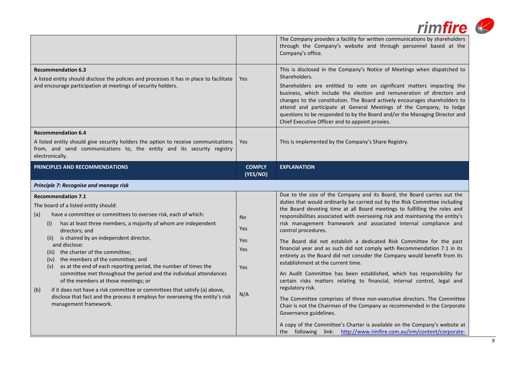|                                                                                                                                                                                                                                                                                                                                                                                                                                                                                                                                                                                                                                        |                                        | <i>rimfire</i><br>The Company provides a facility for written communications by shareholders<br>through the Company's website and through personnel based at the<br>Company's office.                                                                                                                                                                                                                                                                                                                                                                                                                                                                                                                                                                                                                                                                                                                                                      |
|----------------------------------------------------------------------------------------------------------------------------------------------------------------------------------------------------------------------------------------------------------------------------------------------------------------------------------------------------------------------------------------------------------------------------------------------------------------------------------------------------------------------------------------------------------------------------------------------------------------------------------------|----------------------------------------|--------------------------------------------------------------------------------------------------------------------------------------------------------------------------------------------------------------------------------------------------------------------------------------------------------------------------------------------------------------------------------------------------------------------------------------------------------------------------------------------------------------------------------------------------------------------------------------------------------------------------------------------------------------------------------------------------------------------------------------------------------------------------------------------------------------------------------------------------------------------------------------------------------------------------------------------|
| <b>Recommendation 6.3</b><br>A listed entity should disclose the policies and processes it has in place to facilitate<br>and encourage participation at meetings of security holders.                                                                                                                                                                                                                                                                                                                                                                                                                                                  | Yes                                    | This is disclosed in the Company's Notice of Meetings when dispatched to<br>Shareholders.<br>Shareholders are entitled to vote on significant matters impacting the<br>business, which include the election and remuneration of directors and<br>changes to the constitution. The Board actively encourages shareholders to<br>attend and participate at General Meetings of the Company, to lodge<br>questions to be responded to by the Board and/or the Managing Director and<br>Chief Executive Officer and to appoint proxies.                                                                                                                                                                                                                                                                                                                                                                                                        |
| <b>Recommendation 6.4</b><br>A listed entity should give security holders the option to receive communications<br>from, and send communications to, the entity and its security registry<br>electronically.                                                                                                                                                                                                                                                                                                                                                                                                                            | Yes                                    | This is implemented by the Company's Share Registry.                                                                                                                                                                                                                                                                                                                                                                                                                                                                                                                                                                                                                                                                                                                                                                                                                                                                                       |
| PRINCIPLES AND RECOMMENDATIONS                                                                                                                                                                                                                                                                                                                                                                                                                                                                                                                                                                                                         | <b>COMPLY</b><br>(YES/NO)              | <b>EXPLANATION</b>                                                                                                                                                                                                                                                                                                                                                                                                                                                                                                                                                                                                                                                                                                                                                                                                                                                                                                                         |
| Principle 7: Recognise and manage risk<br><b>Recommendation 7.1</b>                                                                                                                                                                                                                                                                                                                                                                                                                                                                                                                                                                    |                                        | Due to the size of the Company and its Board, the Board carries out the                                                                                                                                                                                                                                                                                                                                                                                                                                                                                                                                                                                                                                                                                                                                                                                                                                                                    |
| The board of a listed entity should:<br>have a committee or committees to oversee risk, each of which:<br>(a)<br>has at least three members, a majority of whom are independent<br>(i)<br>directors; and<br>(ii) is chaired by an independent director,<br>and disclose:<br>(iii) the charter of the committee;<br>(iv) the members of the committee; and<br>as at the end of each reporting period, the number of times the<br>(v)<br>committee met throughout the period and the individual attendances<br>of the members at those meetings; or<br>if it does not have a risk committee or committees that satisfy (a) above,<br>(b) | No.<br>Yes<br>Yes<br>Yes<br>Yes<br>N/A | duties that would ordinarily be carried out by the Risk Committee including<br>the Board devoting time at all Board meetings to fulfilling the roles and<br>responsibilities associated with overseeing risk and maintaining the entity's<br>risk management framework and associated internal compliance and<br>control procedures.<br>The Board did not establish a dedicated Risk Committee for the past<br>financial year and as such did not comply with Recommendation 7.1 in its<br>entirety as the Board did not consider the Company would benefit from its<br>establishment at the current time.<br>An Audit Committee has been established, which has responsibility for<br>certain risks matters relating to financial, internal control, legal and<br>regulatory risk.<br>The Committee comprises of three non-executive directors. The Committee<br>Chair is not the Chairman of the Company as recommended in the Corporate |
|                                                                                                                                                                                                                                                                                                                                                                                                                                                                                                                                                                                                                                        |                                        |                                                                                                                                                                                                                                                                                                                                                                                                                                                                                                                                                                                                                                                                                                                                                                                                                                                                                                                                            |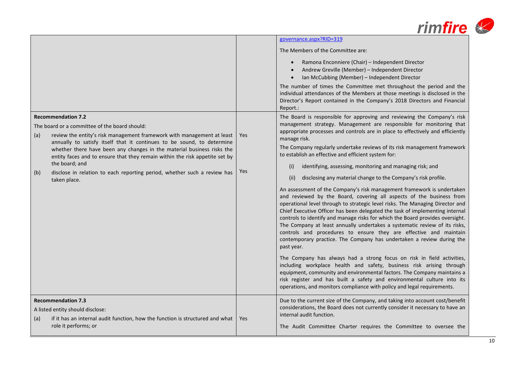

|                                                                                                                                                                                                                                                                                                                                                                                                                                                                                                                     |            | governance.aspx?RID=319                                                                                                                                                                                                                                                                                                                                                                                                                                                                                                                                                                                                                                                                                                                                                                                                                                                                                                                                                                                                                                                                                                                                                                                                                                                                                                                                                                                                                                                                |
|---------------------------------------------------------------------------------------------------------------------------------------------------------------------------------------------------------------------------------------------------------------------------------------------------------------------------------------------------------------------------------------------------------------------------------------------------------------------------------------------------------------------|------------|----------------------------------------------------------------------------------------------------------------------------------------------------------------------------------------------------------------------------------------------------------------------------------------------------------------------------------------------------------------------------------------------------------------------------------------------------------------------------------------------------------------------------------------------------------------------------------------------------------------------------------------------------------------------------------------------------------------------------------------------------------------------------------------------------------------------------------------------------------------------------------------------------------------------------------------------------------------------------------------------------------------------------------------------------------------------------------------------------------------------------------------------------------------------------------------------------------------------------------------------------------------------------------------------------------------------------------------------------------------------------------------------------------------------------------------------------------------------------------------|
|                                                                                                                                                                                                                                                                                                                                                                                                                                                                                                                     |            | The Members of the Committee are:                                                                                                                                                                                                                                                                                                                                                                                                                                                                                                                                                                                                                                                                                                                                                                                                                                                                                                                                                                                                                                                                                                                                                                                                                                                                                                                                                                                                                                                      |
|                                                                                                                                                                                                                                                                                                                                                                                                                                                                                                                     |            | Ramona Enconniere (Chair) - Independent Director<br>$\bullet$<br>Andrew Greville (Member) - Independent Director<br>Ian McCubbing (Member) - Independent Director<br>The number of times the Committee met throughout the period and the                                                                                                                                                                                                                                                                                                                                                                                                                                                                                                                                                                                                                                                                                                                                                                                                                                                                                                                                                                                                                                                                                                                                                                                                                                               |
|                                                                                                                                                                                                                                                                                                                                                                                                                                                                                                                     |            | individual attendances of the Members at those meetings is disclosed in the<br>Director's Report contained in the Company's 2018 Directors and Financial<br>Report.:                                                                                                                                                                                                                                                                                                                                                                                                                                                                                                                                                                                                                                                                                                                                                                                                                                                                                                                                                                                                                                                                                                                                                                                                                                                                                                                   |
| <b>Recommendation 7.2</b><br>The board or a committee of the board should:<br>review the entity's risk management framework with management at least<br>(a)<br>annually to satisfy itself that it continues to be sound, to determine<br>whether there have been any changes in the material business risks the<br>entity faces and to ensure that they remain within the risk appetite set by<br>the board; and<br>disclose in relation to each reporting period, whether such a review has<br>(b)<br>taken place. | Yes<br>Yes | The Board is responsible for approving and reviewing the Company's risk<br>management strategy. Management are responsible for monitoring that<br>appropriate processes and controls are in place to effectively and efficiently<br>manage risk.<br>The Company regularly undertake reviews of its risk management framework<br>to establish an effective and efficient system for:<br>identifying, assessing, monitoring and managing risk; and<br>(i)<br>disclosing any material change to the Company's risk profile.<br>(ii)<br>An assessment of the Company's risk management framework is undertaken<br>and reviewed by the Board, covering all aspects of the business from<br>operational level through to strategic level risks. The Managing Director and<br>Chief Executive Officer has been delegated the task of implementing internal<br>controls to identify and manage risks for which the Board provides oversight.<br>The Company at least annually undertakes a systematic review of its risks,<br>controls and procedures to ensure they are effective and maintain<br>contemporary practice. The Company has undertaken a review during the<br>past year.<br>The Company has always had a strong focus on risk in field activities,<br>including workplace health and safety, business risk arising through<br>equipment, community and environmental factors. The Company maintains a<br>risk register and has built a safety and environmental culture into its |
|                                                                                                                                                                                                                                                                                                                                                                                                                                                                                                                     |            | operations, and monitors compliance with policy and legal requirements.                                                                                                                                                                                                                                                                                                                                                                                                                                                                                                                                                                                                                                                                                                                                                                                                                                                                                                                                                                                                                                                                                                                                                                                                                                                                                                                                                                                                                |
| <b>Recommendation 7.3</b><br>A listed entity should disclose:<br>if it has an internal audit function, how the function is structured and what<br>(a)<br>role it performs; or                                                                                                                                                                                                                                                                                                                                       | Yes        | Due to the current size of the Company, and taking into account cost/benefit<br>considerations, the Board does not currently consider it necessary to have an<br>internal audit function.<br>The Audit Committee Charter requires the Committee to oversee the                                                                                                                                                                                                                                                                                                                                                                                                                                                                                                                                                                                                                                                                                                                                                                                                                                                                                                                                                                                                                                                                                                                                                                                                                         |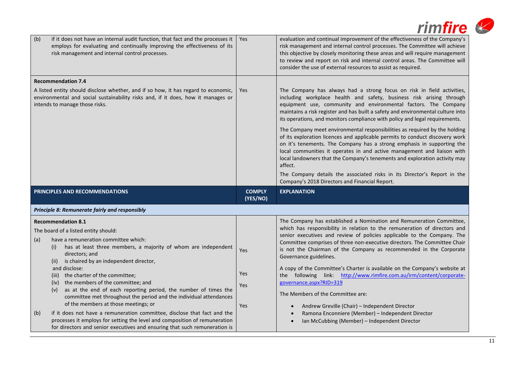| if it does not have an internal audit function, that fact and the processes it<br>(b)<br>employs for evaluating and continually improving the effectiveness of its<br>risk management and internal control processes.                                                                                                                                                                                                                                                                                                                             | <b>Yes</b>                | <i>rimfire</i><br>evaluation and continual improvement of the effectiveness of the Company's<br>risk management and internal control processes. The Committee will achieve<br>this objective by closely monitoring these areas and will require management<br>to review and report on risk and internal control areas. The Committee will                                                                                                                                                                                                                                                                                                                                                                                                                                   |
|---------------------------------------------------------------------------------------------------------------------------------------------------------------------------------------------------------------------------------------------------------------------------------------------------------------------------------------------------------------------------------------------------------------------------------------------------------------------------------------------------------------------------------------------------|---------------------------|-----------------------------------------------------------------------------------------------------------------------------------------------------------------------------------------------------------------------------------------------------------------------------------------------------------------------------------------------------------------------------------------------------------------------------------------------------------------------------------------------------------------------------------------------------------------------------------------------------------------------------------------------------------------------------------------------------------------------------------------------------------------------------|
| <b>Recommendation 7.4</b><br>A listed entity should disclose whether, and if so how, it has regard to economic,<br>environmental and social sustainability risks and, if it does, how it manages or                                                                                                                                                                                                                                                                                                                                               | Yes                       | consider the use of external resources to assist as required.<br>The Company has always had a strong focus on risk in field activities,<br>including workplace health and safety, business risk arising through                                                                                                                                                                                                                                                                                                                                                                                                                                                                                                                                                             |
| intends to manage those risks.                                                                                                                                                                                                                                                                                                                                                                                                                                                                                                                    |                           | equipment use, community and environmental factors. The Company<br>maintains a risk register and has built a safety and environmental culture into<br>its operations, and monitors compliance with policy and legal requirements.<br>The Company meet environmental responsibilities as required by the holding<br>of its exploration licences and applicable permits to conduct discovery work<br>on it's tenements. The Company has a strong emphasis in supporting the<br>local communities it operates in and active management and liaison with<br>local landowners that the Company's tenements and exploration activity may<br>affect.<br>The Company details the associated risks in its Director's Report in the<br>Company's 2018 Directors and Financial Report. |
| PRINCIPLES AND RECOMMENDATIONS                                                                                                                                                                                                                                                                                                                                                                                                                                                                                                                    | <b>COMPLY</b><br>(YES/NO) | <b>EXPLANATION</b>                                                                                                                                                                                                                                                                                                                                                                                                                                                                                                                                                                                                                                                                                                                                                          |
| Principle 8: Remunerate fairly and responsibly                                                                                                                                                                                                                                                                                                                                                                                                                                                                                                    |                           |                                                                                                                                                                                                                                                                                                                                                                                                                                                                                                                                                                                                                                                                                                                                                                             |
| <b>Recommendation 8.1</b><br>The board of a listed entity should:<br>have a remuneration committee which:<br>(a)<br>has at least three members, a majority of whom are independent<br>(i)<br>directors; and<br>(ii) is chaired by an independent director,<br>and disclose:<br>(iii) the charter of the committee;<br>(iv) the members of the committee; and<br>(v) as at the end of each reporting period, the number of times the<br>committee met throughout the period and the individual attendances<br>of the members at those meetings; or | Yes<br>Yes<br>Yes         | The Company has established a Nomination and Remuneration Committee,<br>which has responsibility in relation to the remuneration of directors and<br>senior executives and review of policies applicable to the Company. The<br>Committee comprises of three non-executive directors. The Committee Chair<br>is not the Chairman of the Company as recommended in the Corporate<br>Governance guidelines.<br>A copy of the Committee's Charter is available on the Company's website at<br>the following link: http://www.rimfire.com.au/irm/content/corporate-<br>governance.aspx?RID=319<br>The Members of the Committee are:                                                                                                                                             |
| if it does not have a remuneration committee, disclose that fact and the<br>(b)<br>processes it employs for setting the level and composition of remuneration<br>for directors and senior executives and ensuring that such remuneration is                                                                                                                                                                                                                                                                                                       | Yes                       | Andrew Greville (Chair) - Independent Director<br>Ramona Enconniere (Member) - Independent Director<br>Ian McCubbing (Member) - Independent Director                                                                                                                                                                                                                                                                                                                                                                                                                                                                                                                                                                                                                        |